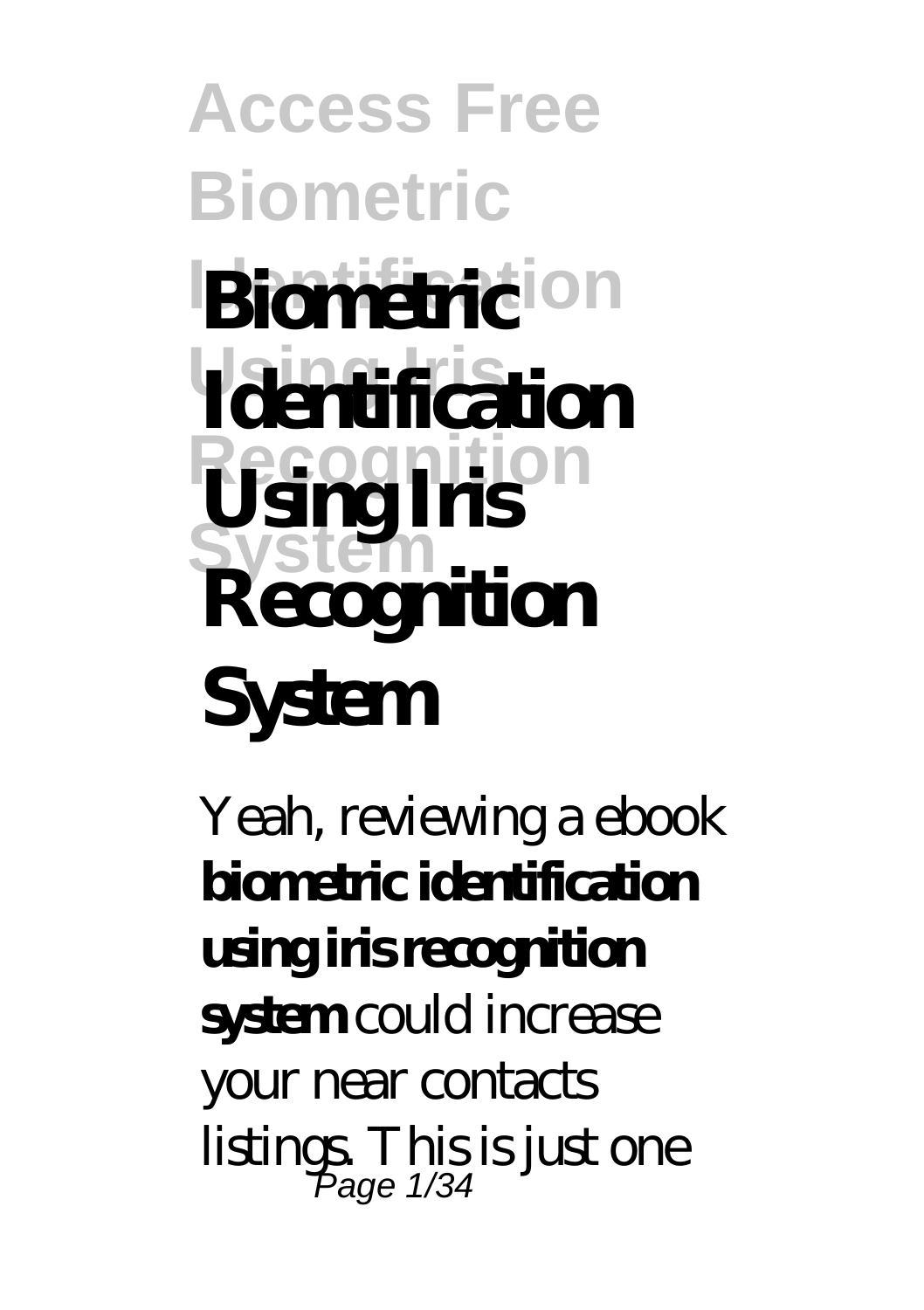### **Access Free Biometric Biometricion Using Iris Recognition System Biometric Identification Using Iris Recognition System**

Yeah, reviewing a ebook **biometric identification using iris recognition system** could increase your near contacts listings. This is just one Page 1/34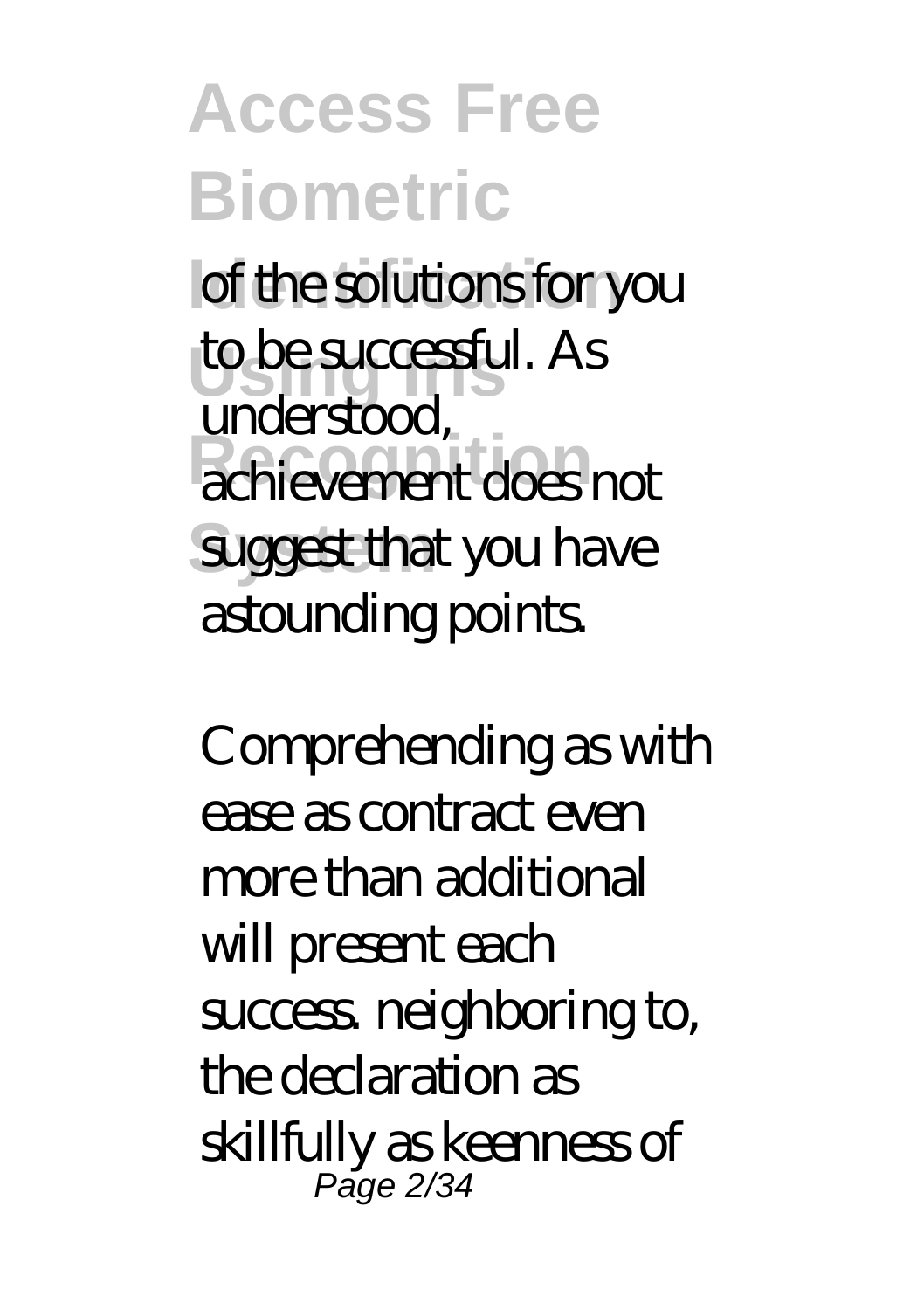**Access Free Biometric I** of the solutions for you to be successful. As **Recognition** achievement does not **Suggest that you have** understood, astounding points.

Comprehending as with ease as contract even more than additional will present each success. neighboring to, the declaration as skillfully as keenness of Page 2/34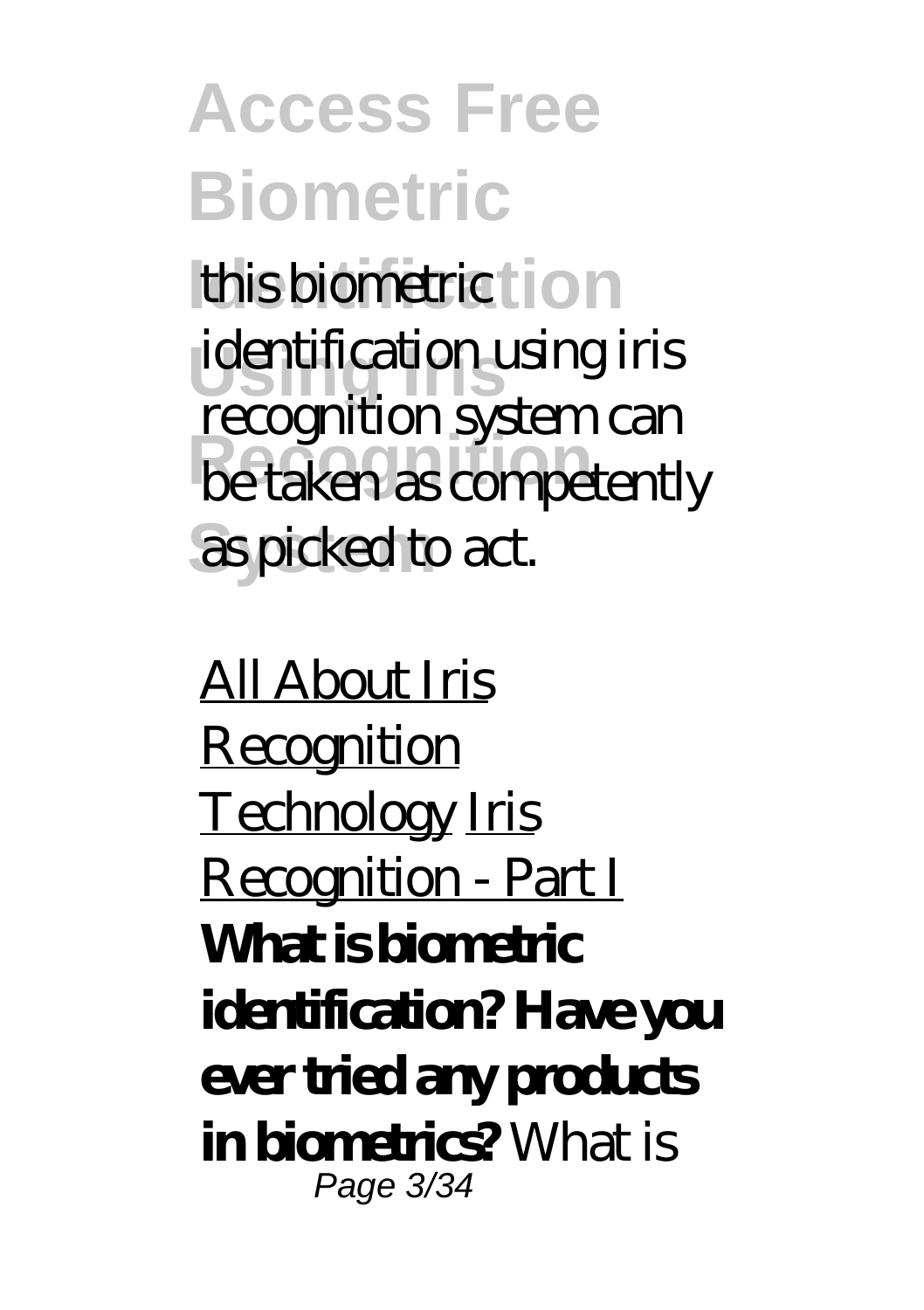**Access Free Biometric** this biometric tion **Using Iris** identification using iris **Recognition** be taken as competently **System** as picked to act. recognition system can

All About Iris Recognition Technology Iris Recognition - Part I **What is biometric identification? Have you ever tried any products in biometrics?** What is Page 3/34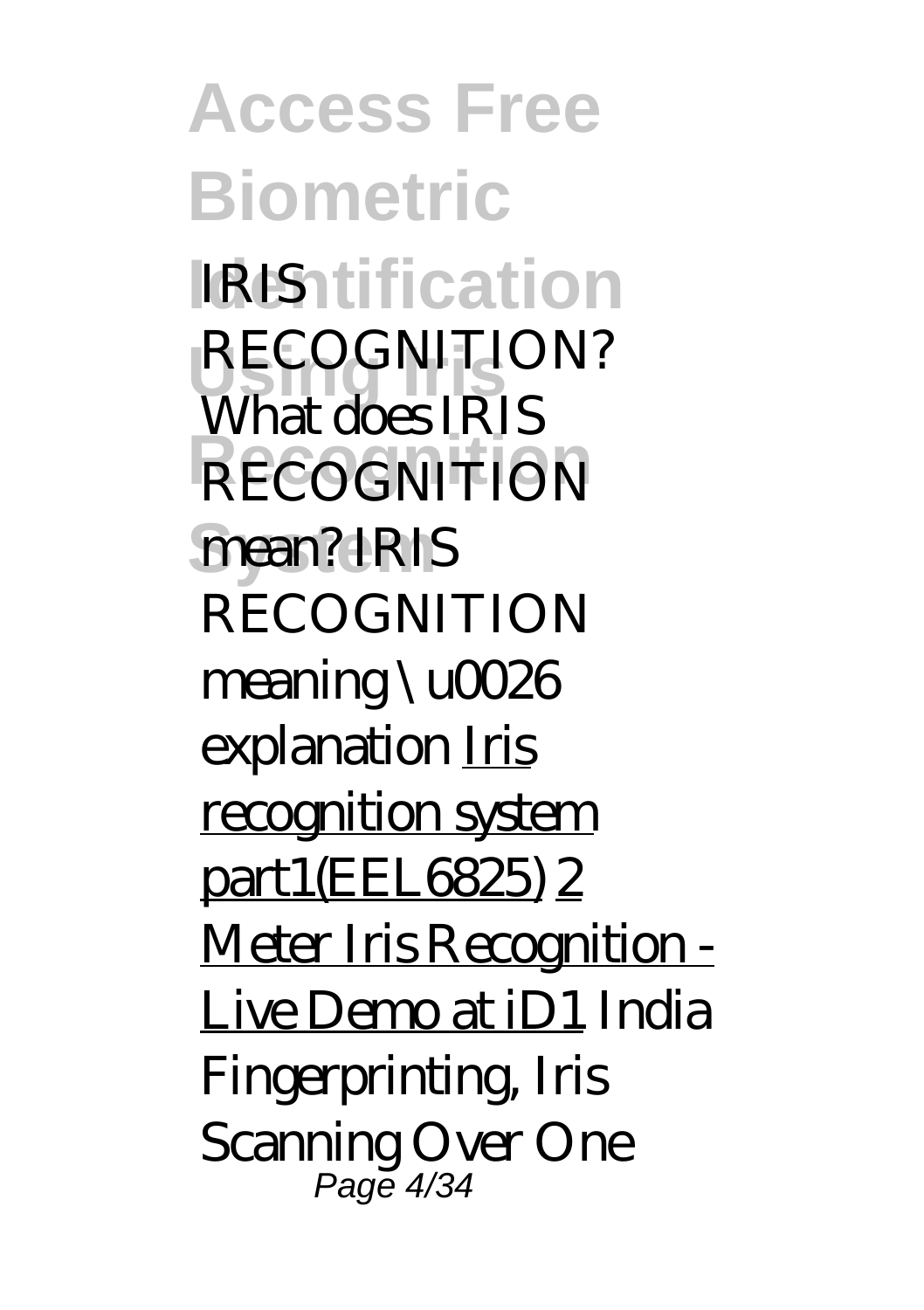**Access Free Biometric IRIS**ntification RECOGNITION? **Recognition** RECOGNITION **System** mean? IRIS What does IRIS RECOGNITION meaning \u0026 explanation Iris recognition system part1(EEL6825) 2 Meter Iris Recognition - Live Demo at iD1 *India Fingerprinting, Iris Scanning Over One* Page 4/34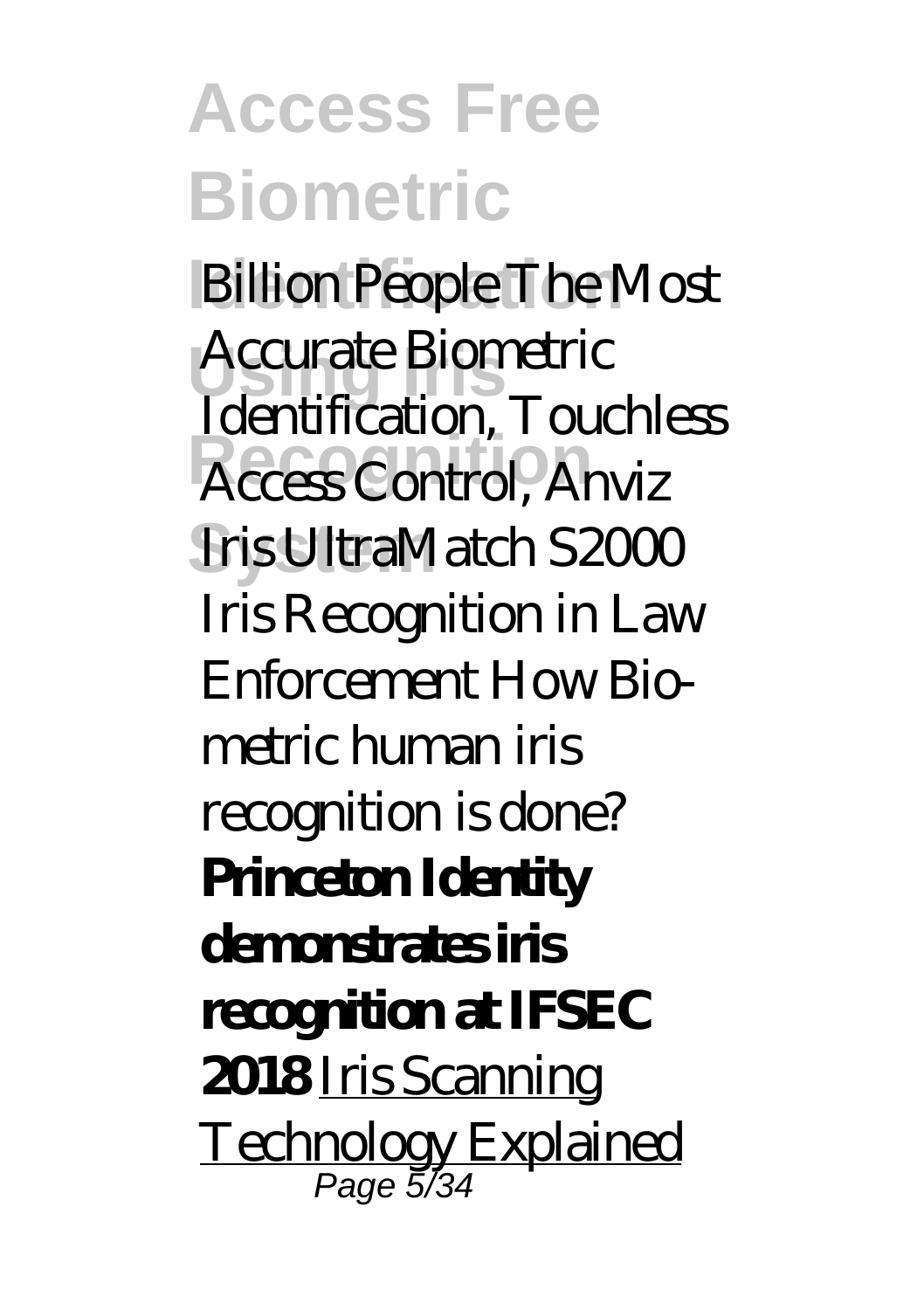**Access Free Biometric** *Billion People**The Most* **Using Iris** *Accurate Biometric* **Recognition** *Access Control, Anviz* **System** *Iris UltraMatch S2000 Identification, Touchless Iris Recognition in Law Enforcement How Biometric human iris recognition is done?* **Princeton Identity demonstrates iris recognition at IFSEC 2018** Iris Scanning Technology Explained Page 5/34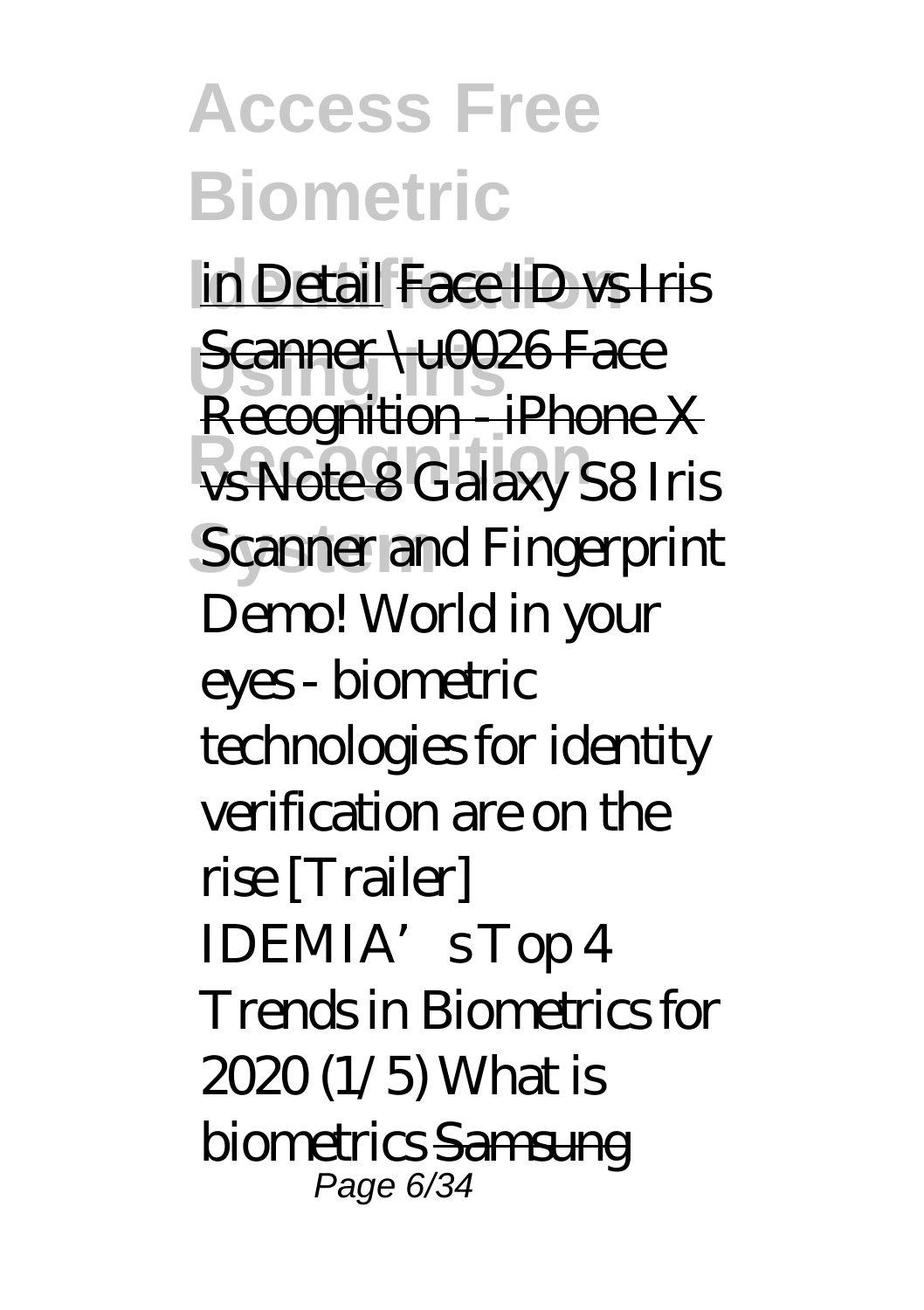## **Access Free Biometric**

in Detail Face ID vs Iris **Scanner \u0026 Face Recognition** vs Note 8 *Galaxy S8 Iris* **Scanner and Fingerprint** Recognition - iPhone X *Demo! World in your eyes - biometric technologies for identity verification are on the rise [Trailer] IDEMIA's Top 4 Trends in Biometrics for 2020 (1/5) What is biometrics* Samsung Page 6/34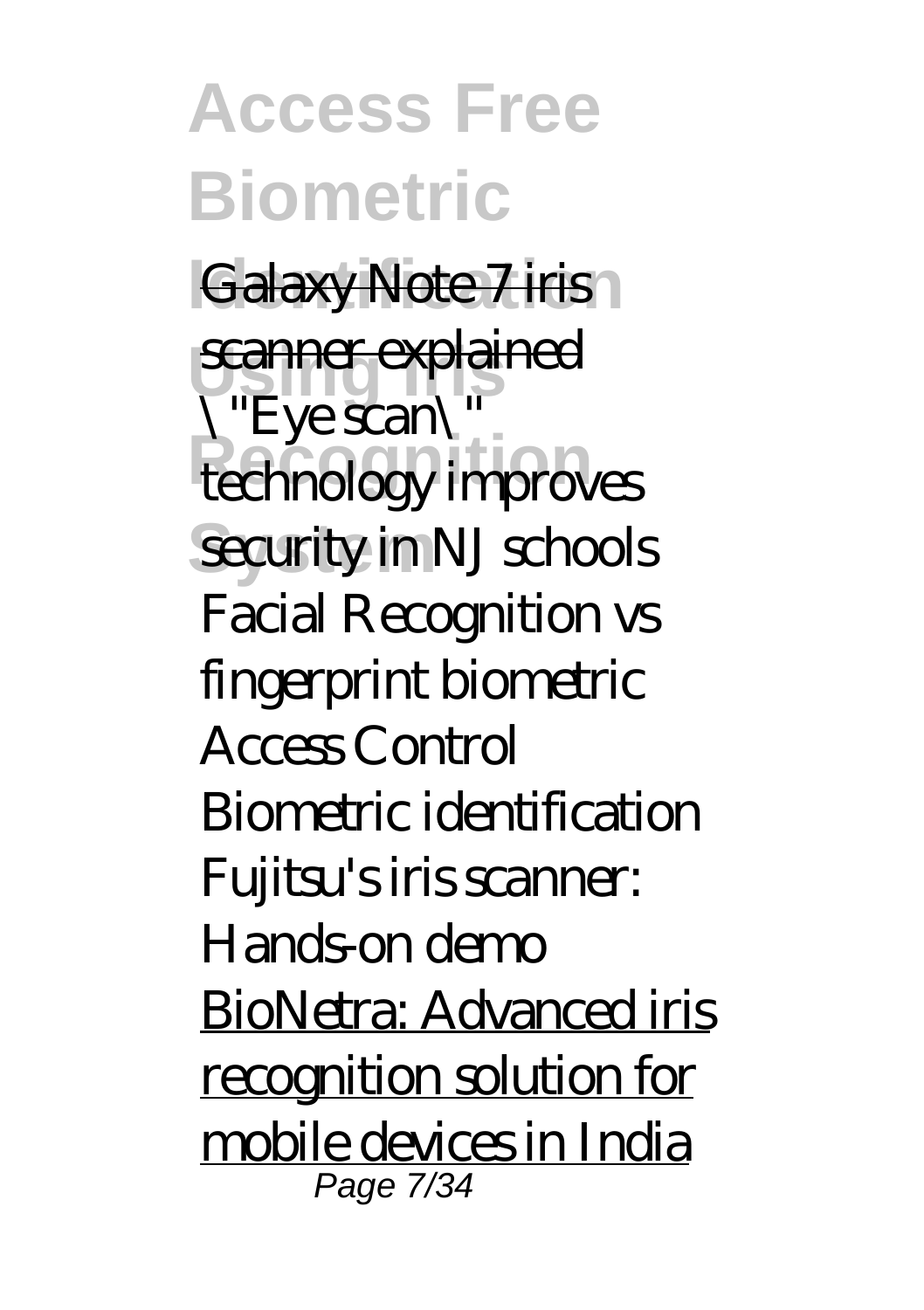**Access Free Biometric** Galaxy Note 7 iris **scanner explained Recognition** *technology improves* **System** *security in NJ schools \"Eye scan\" Facial Recognition vs fingerprint biometric Access Control Biometric identification* Fujitsu's iris scanner: Hands-on demo BioNetra: Advanced iris recognition solution for mobile devices in India Page 7/34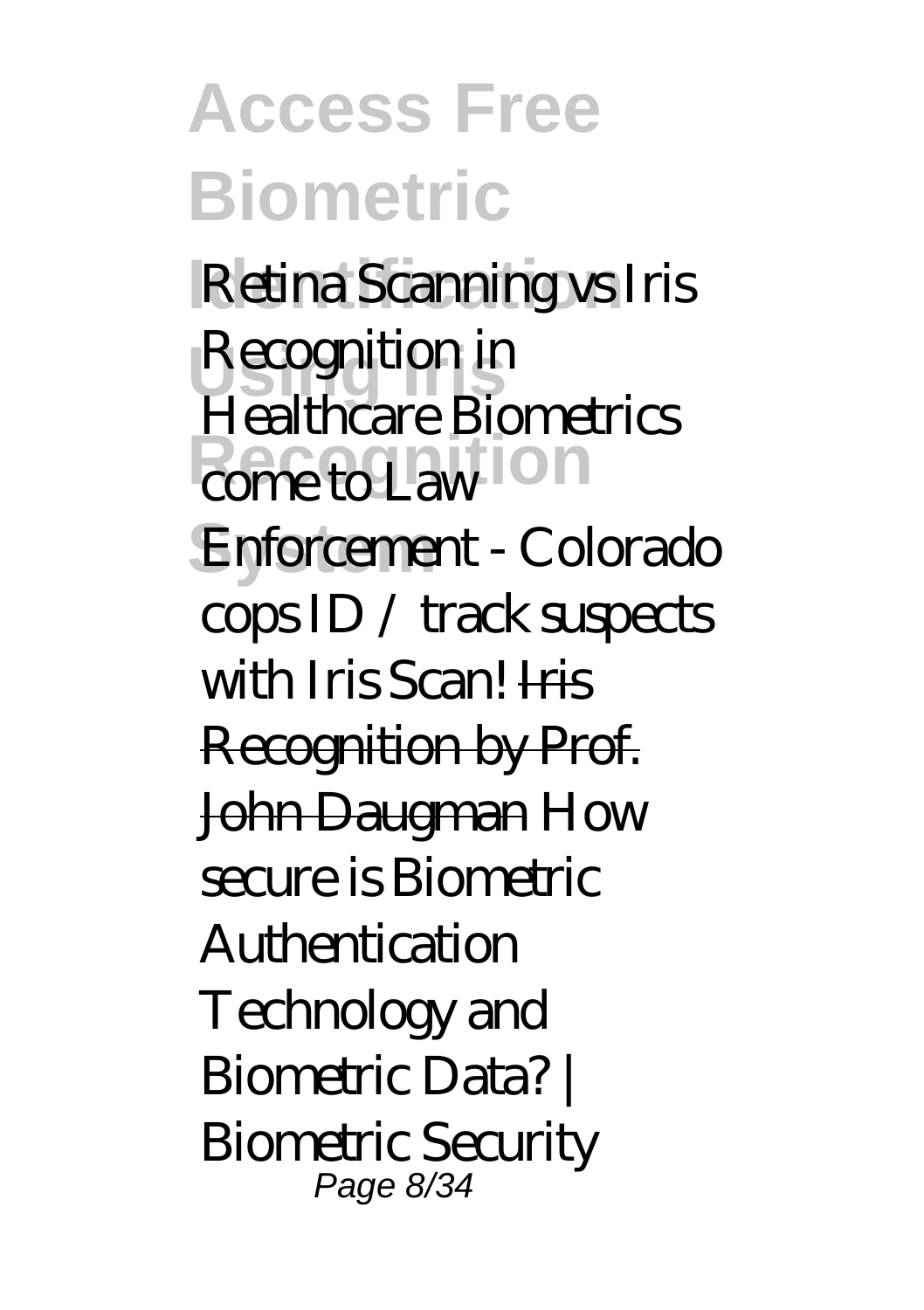**Access Free Biometric Identification** *Retina Scanning vs Iris* **Using Iris** *Recognition in come to Law* **on System** *Enforcement - Colorado Healthcare Biometrics cops ID / track suspects with Iris Scan!* Iris Recognition by Prof. John Daugman *How secure is Biometric Authentication Technology and Biometric Data? | Biometric Security* Page 8/34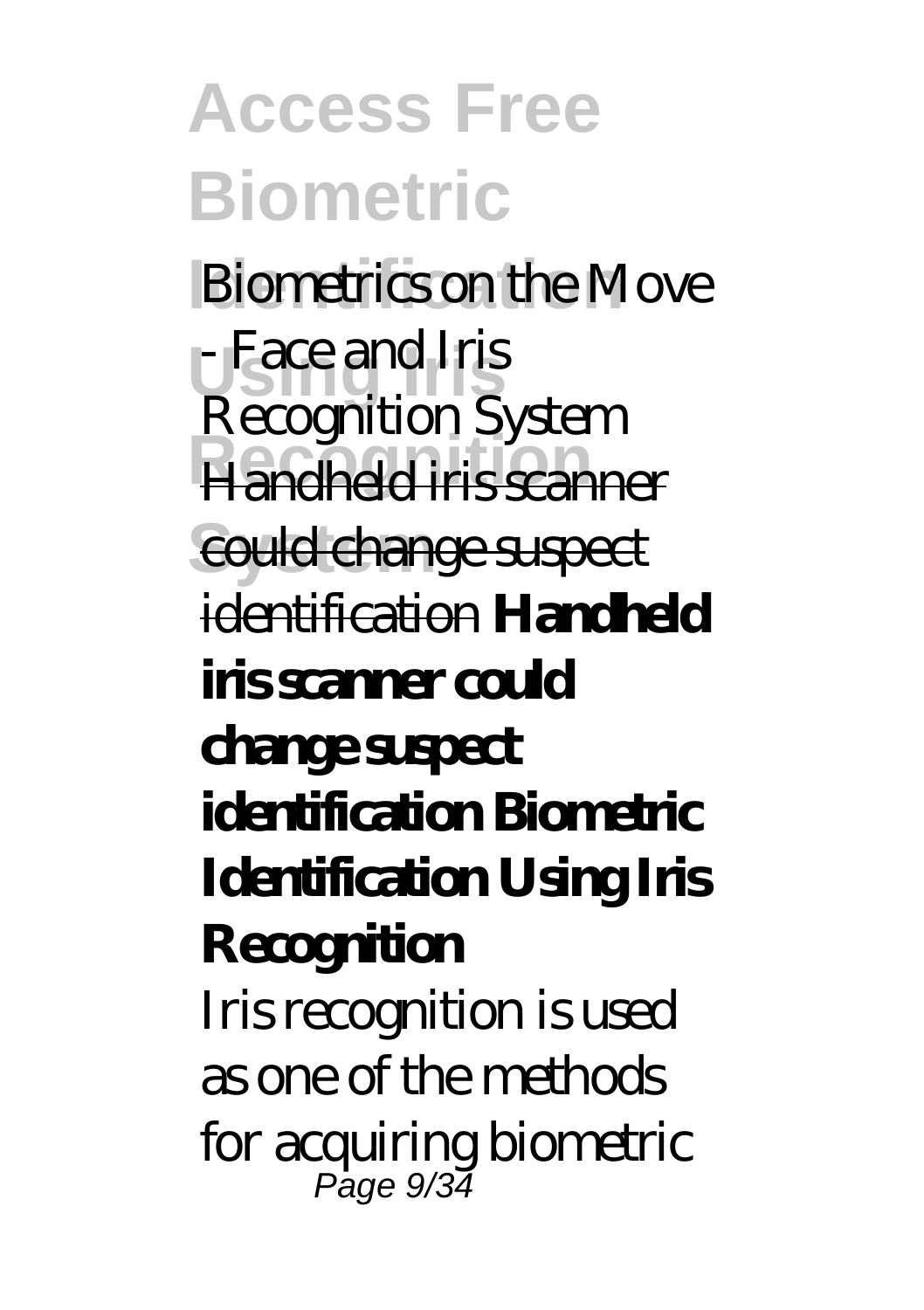**Access Free Biometric Biometrics on the Move Using Iris** - Face and Iris **Recognition** Handheld iris scanner **System** could change suspect Recognition System identification **Handheld iris scanner could change suspect identification Biometric Identification Using Iris Recognition** Iris recognition is used as one of the methods for acquiring biometric Page 9/34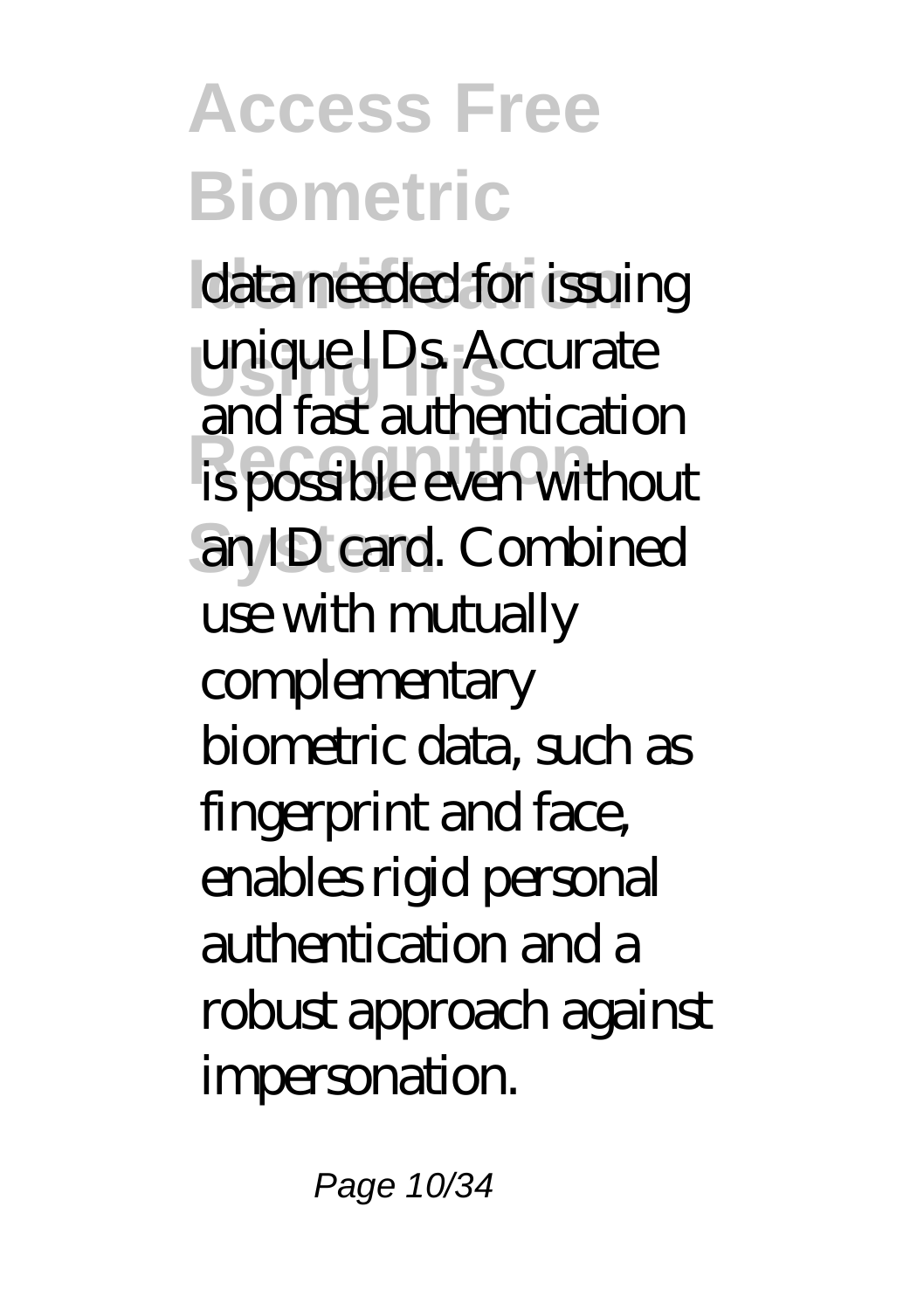# **Access Free Biometric** data needed for issuing

**unique IDs. Accurate Recognition** is possible even without **System** an ID card. Combined and fast authentication use with mutually complementary biometric data, such as fingerprint and face, enables rigid personal authentication and a robust approach against impersonation.

Page 10/34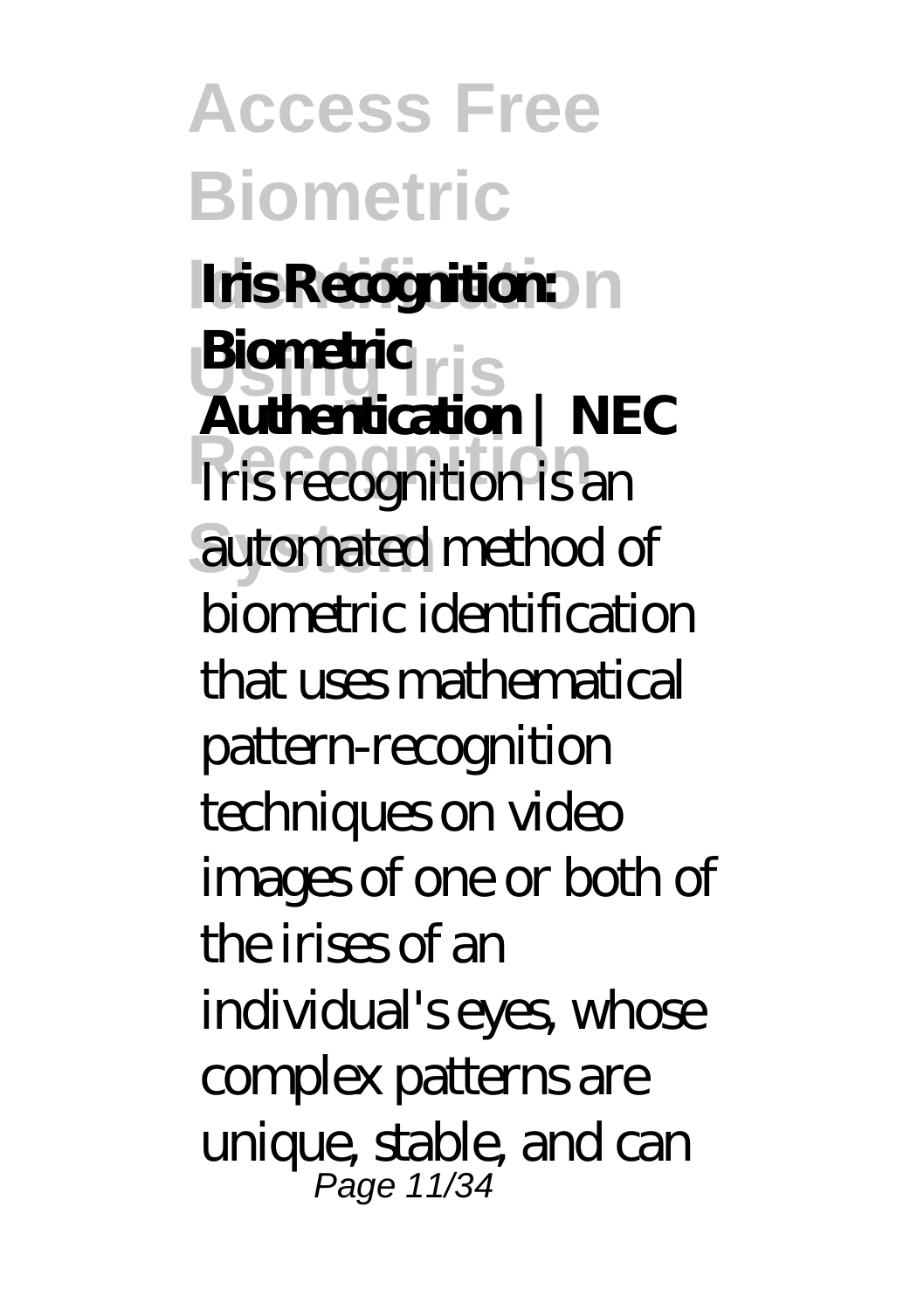**Access Free Biometric Iris Recognition: Using Iris Biometric Recognition** Iris recognition is an **System** automated method of **Authentication | NEC** biometric identification that uses mathematical pattern-recognition techniques on video images of one or both of the irises of an individual's eyes, whose complex patterns are unique, stable, and can Page 11/34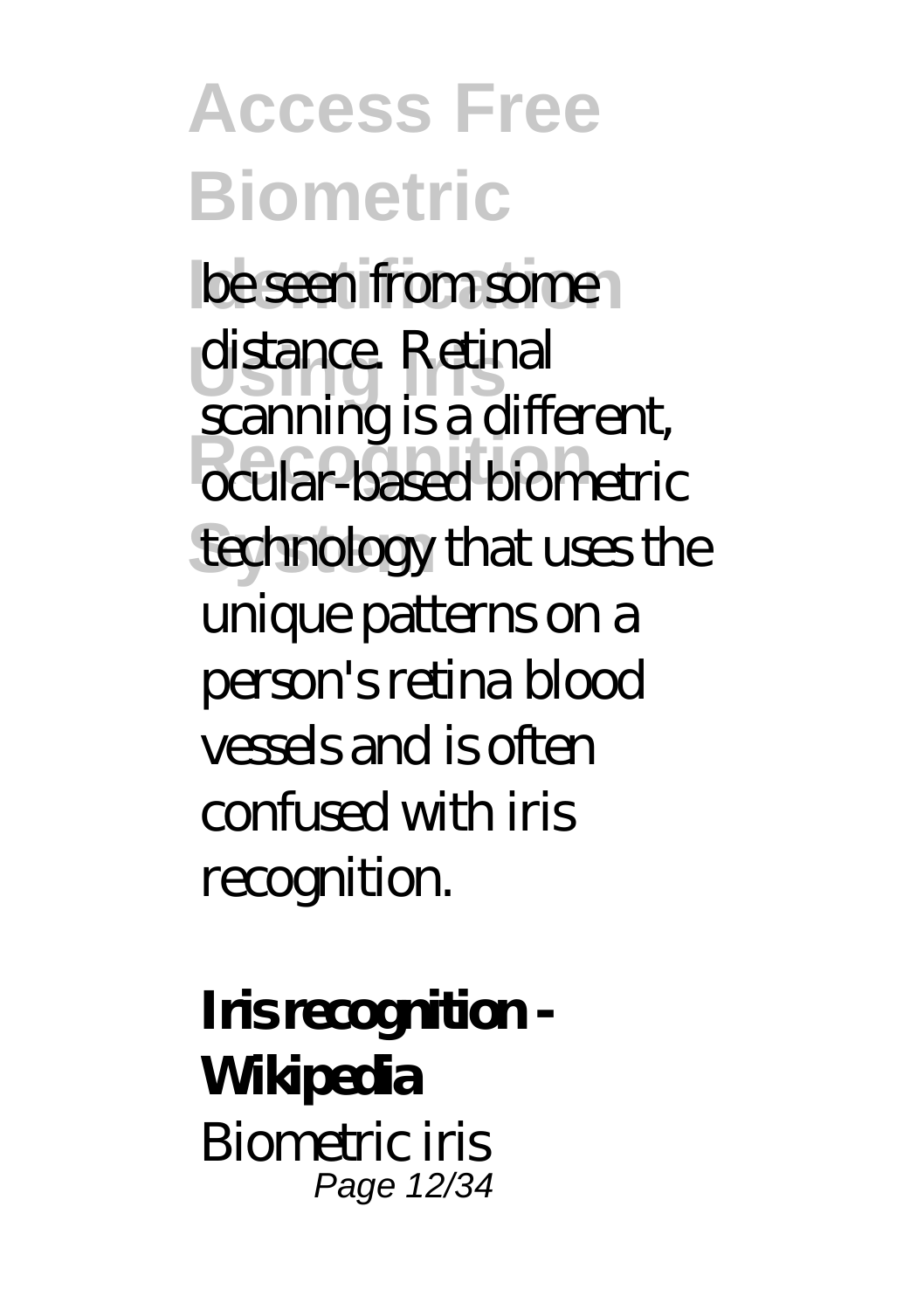**Access Free Biometric be seen from some Using Iris** distance. Retinal *Recognition* technology that uses the scanning is a different, unique patterns on a person's retina blood vessels and is often confused with iris recognition.

**Iris recognition - Wikipedia** Biometric iris Page 12/34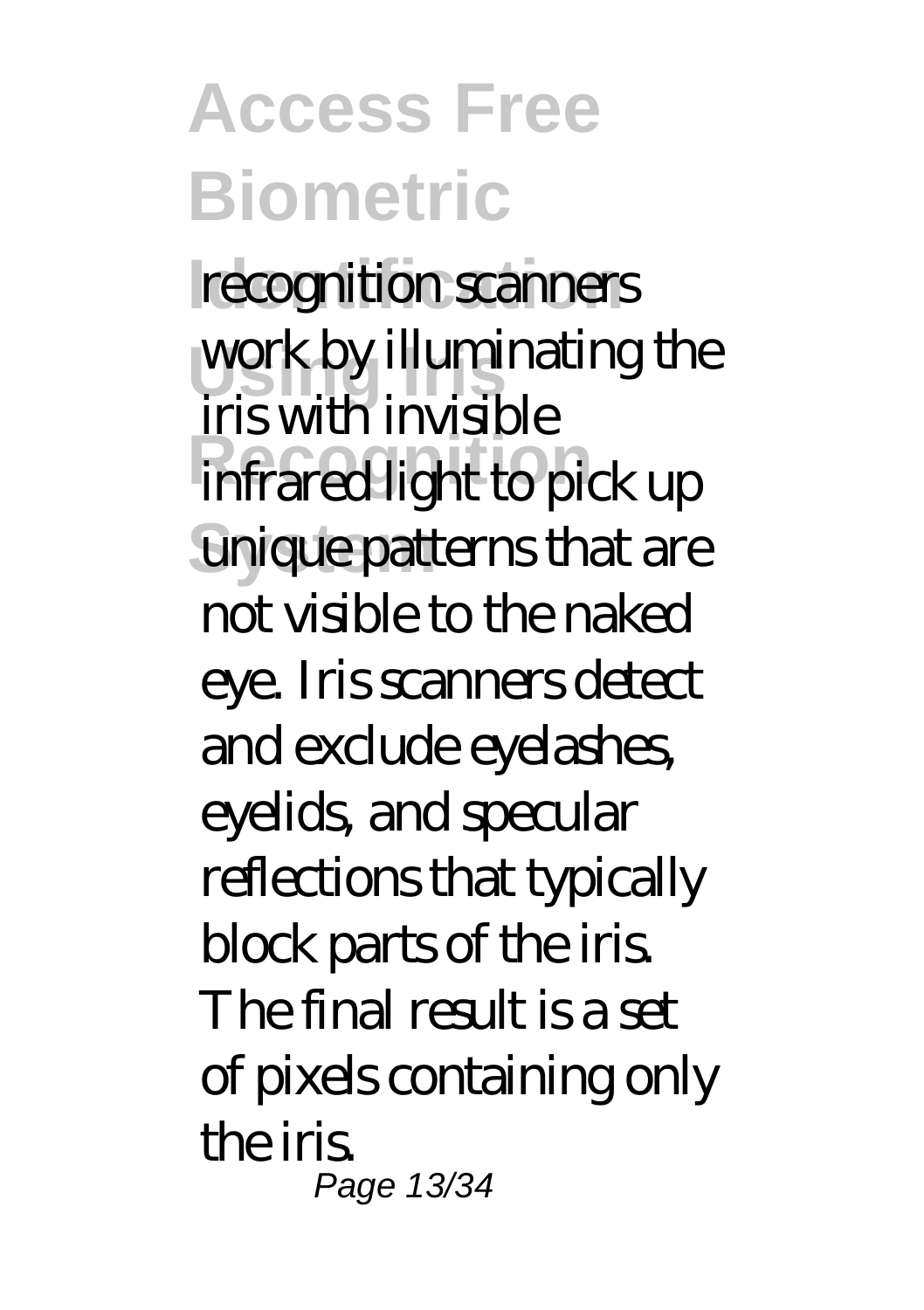**Access Free Biometric** recognition scanners **Using Iris** work by illuminating the **Recognition** infrared light to pick up unique patterns that are iris with invisible not visible to the naked eye. Iris scanners detect and exclude eyelashes, eyelids, and specular reflections that typically block parts of the iris. The final result is a set of pixels containing only the iris. Page 13/34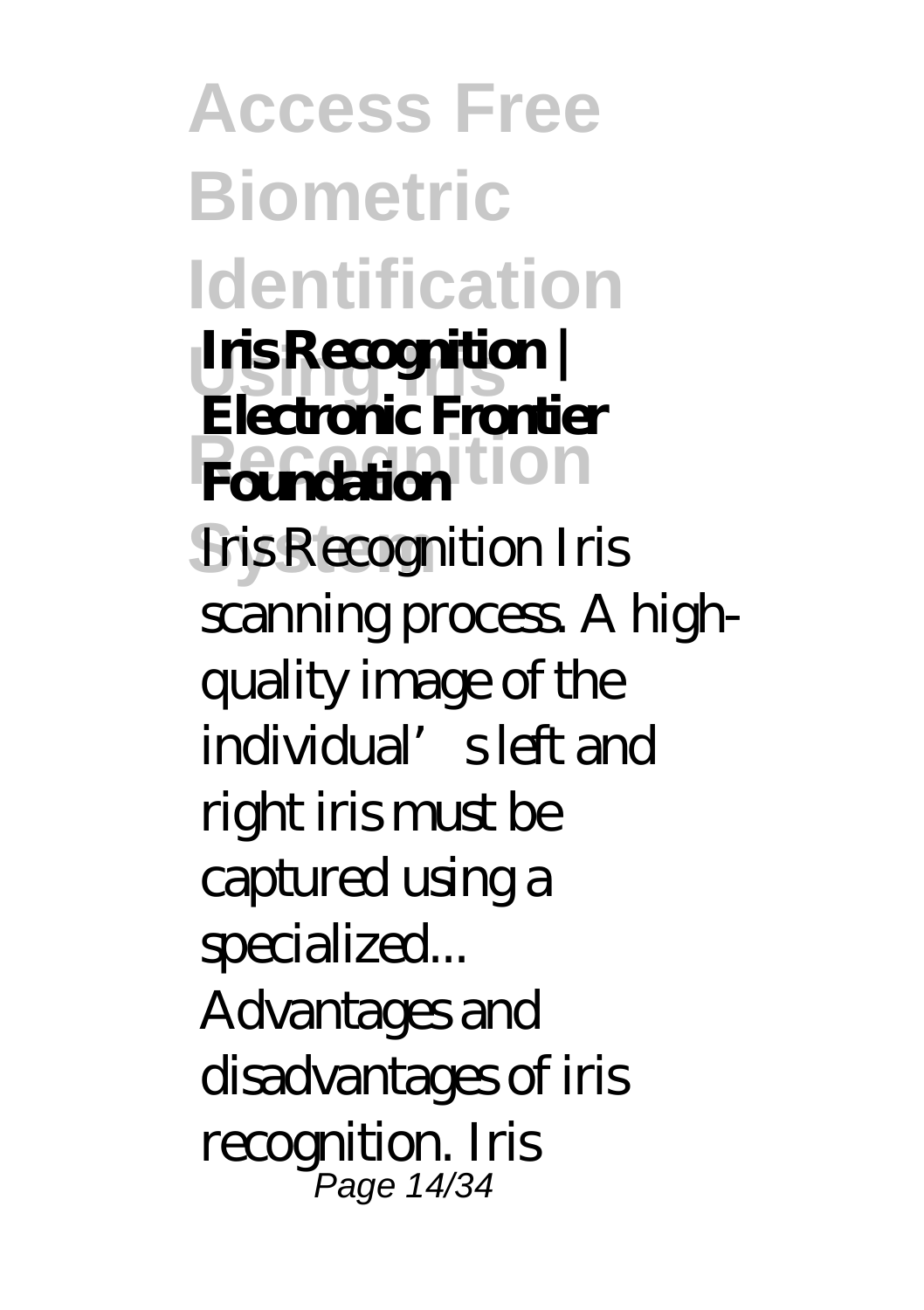**Access Free Biometric Identification Using Iris Iris Recognition | Rendantion System** Iris Recognition Iris **Electronic Frontier** scanning process. A highquality image of the individual's left and right iris must be captured using a specialized... Advantages and disadvantages of iris recognition. Iris Page 14/34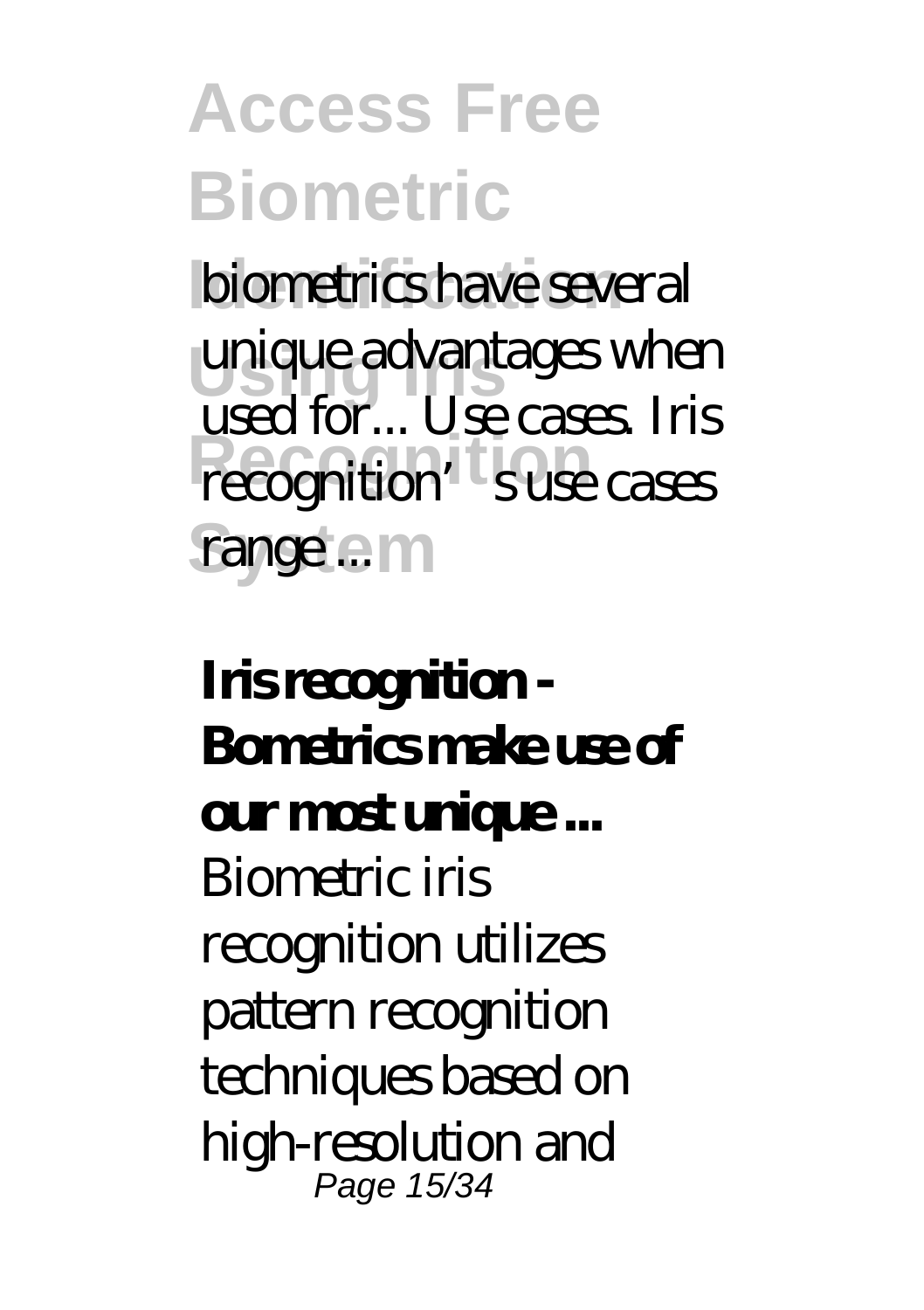### **Access Free Biometric biometrics have several** unique advantages when **Recognition** recognition's use cases range...<sup>m</sup> used for... Use cases. Iris

### **Iris recognition - Bometrics make use of our most unique ...** Biometric iris recognition utilizes pattern recognition techniques based on high-resolution and Page 15/34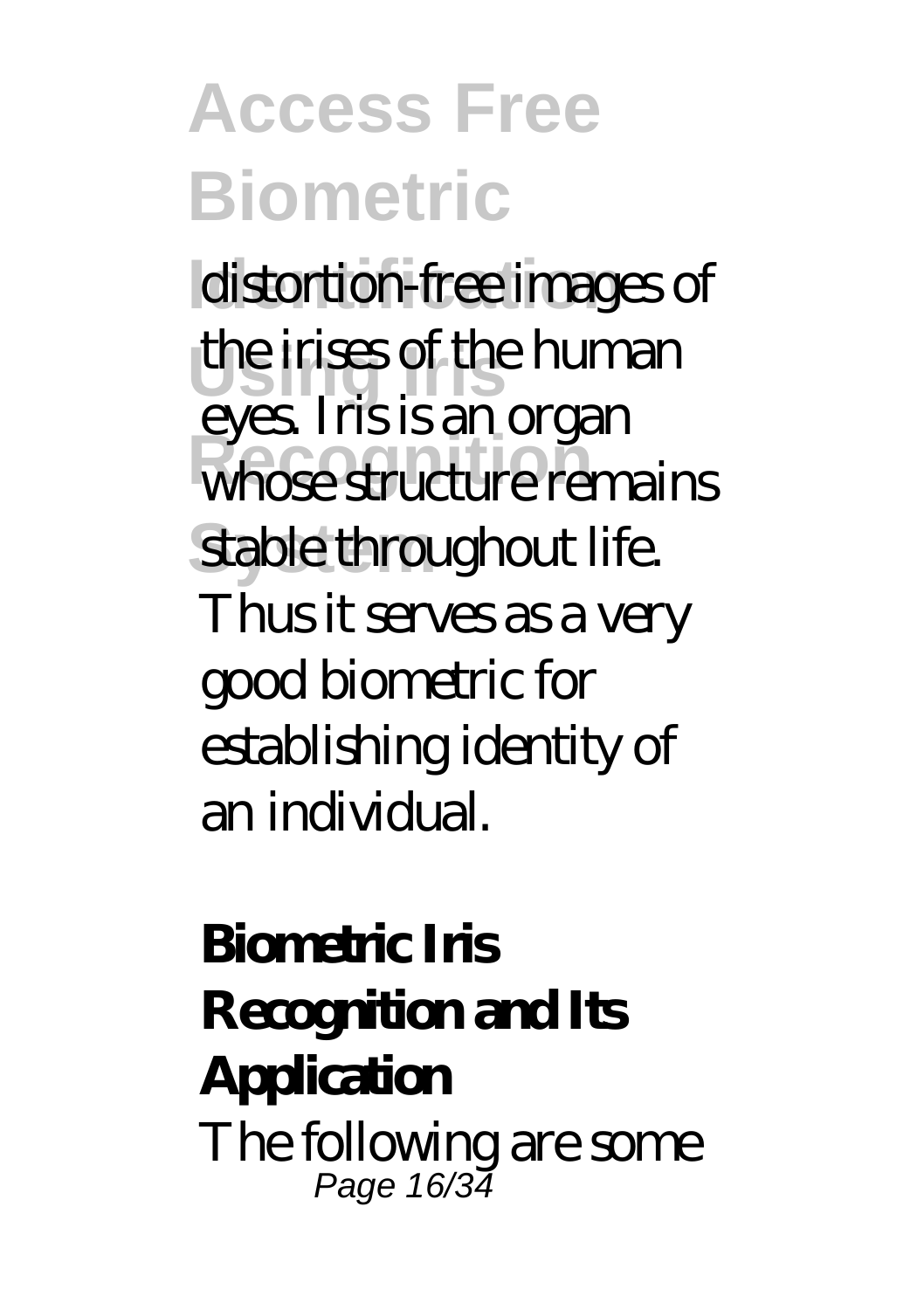### **Access Free Biometric**

**distortion-free images of Using Iris** the irises of the human whose structure remains stable throughout life. eyes. Iris is an organ Thus it serves as a very good biometric for establishing identity of an individual.

#### **Biometric Iris Recognition and Its Application** The following are some Page 16/34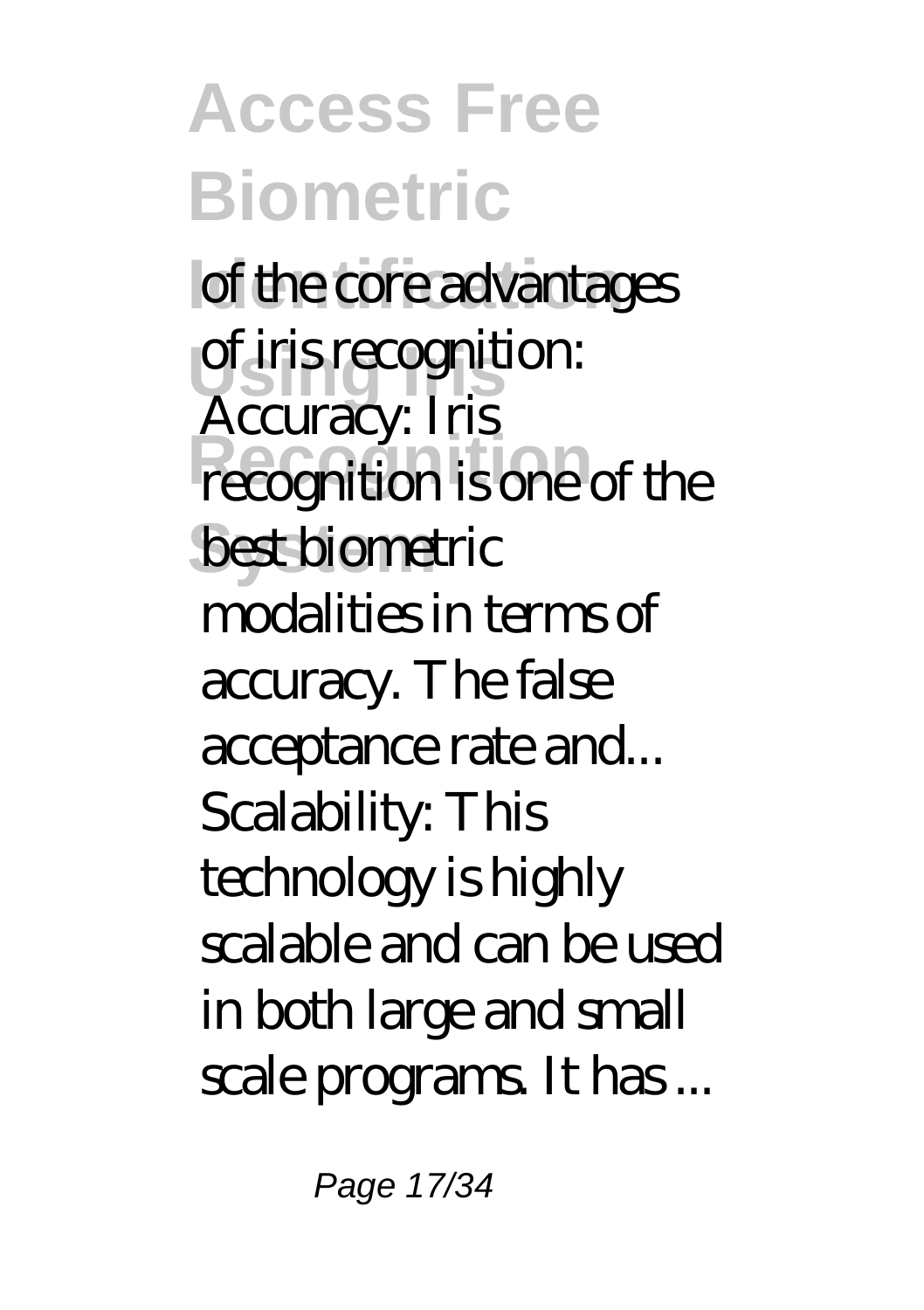**Access Free Biometric I** of the core advantages **Using Iris** of iris recognition: **Recognition** recognition is one of the best biometric Accuracy: Iris modalities in terms of accuracy. The false acceptance rate and... Scalability: This technology is highly scalable and can be used in both large and small scale programs. It has ...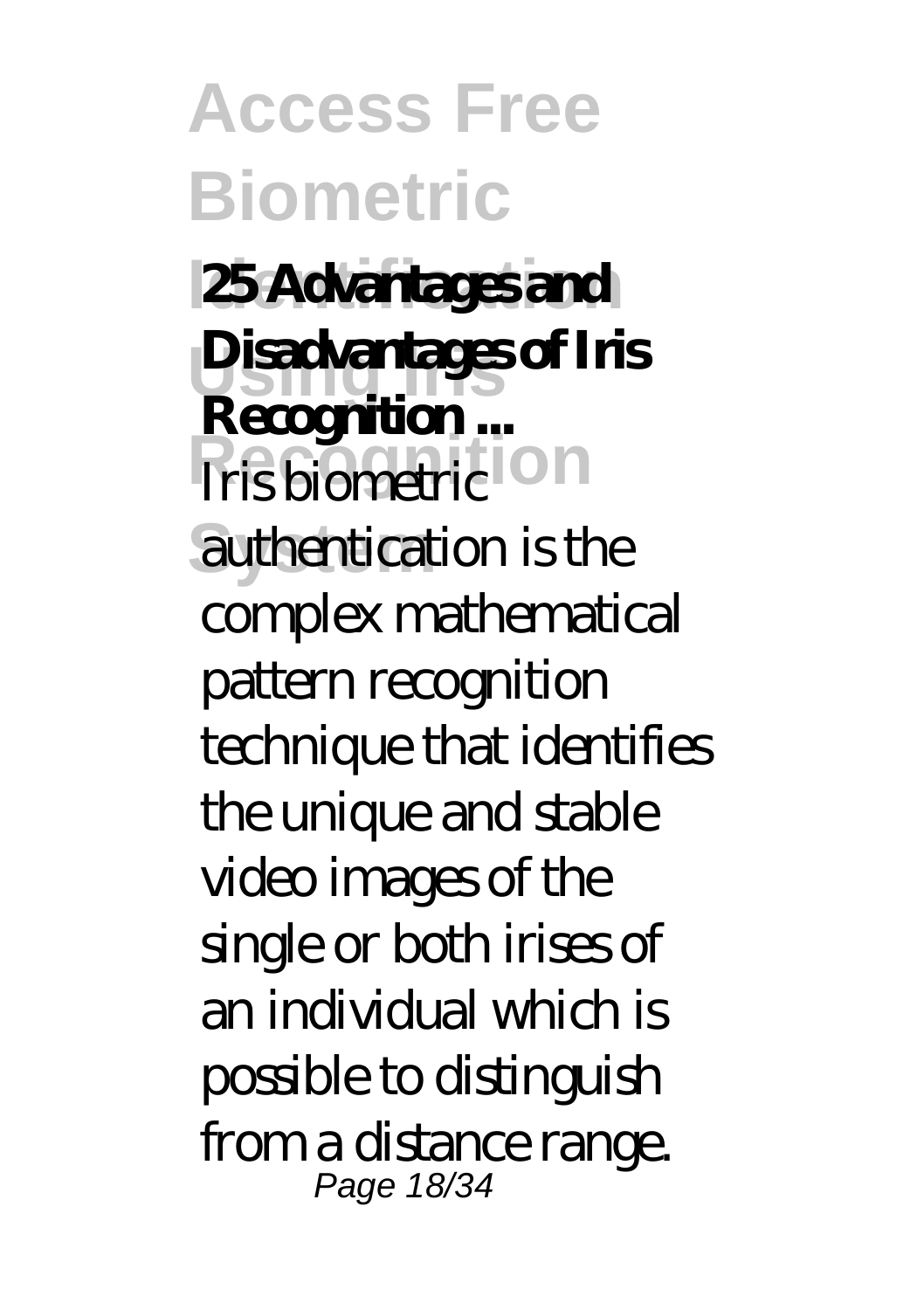**Access Free Biometric 25 Advantages and Using Iris Disadvantages of Iris Recognition** authentication is the **Recognition...** complex mathematical pattern recognition technique that identifies the unique and stable video images of the single or both irises of an individual which is possible to distinguish from a distance range. Page 18/34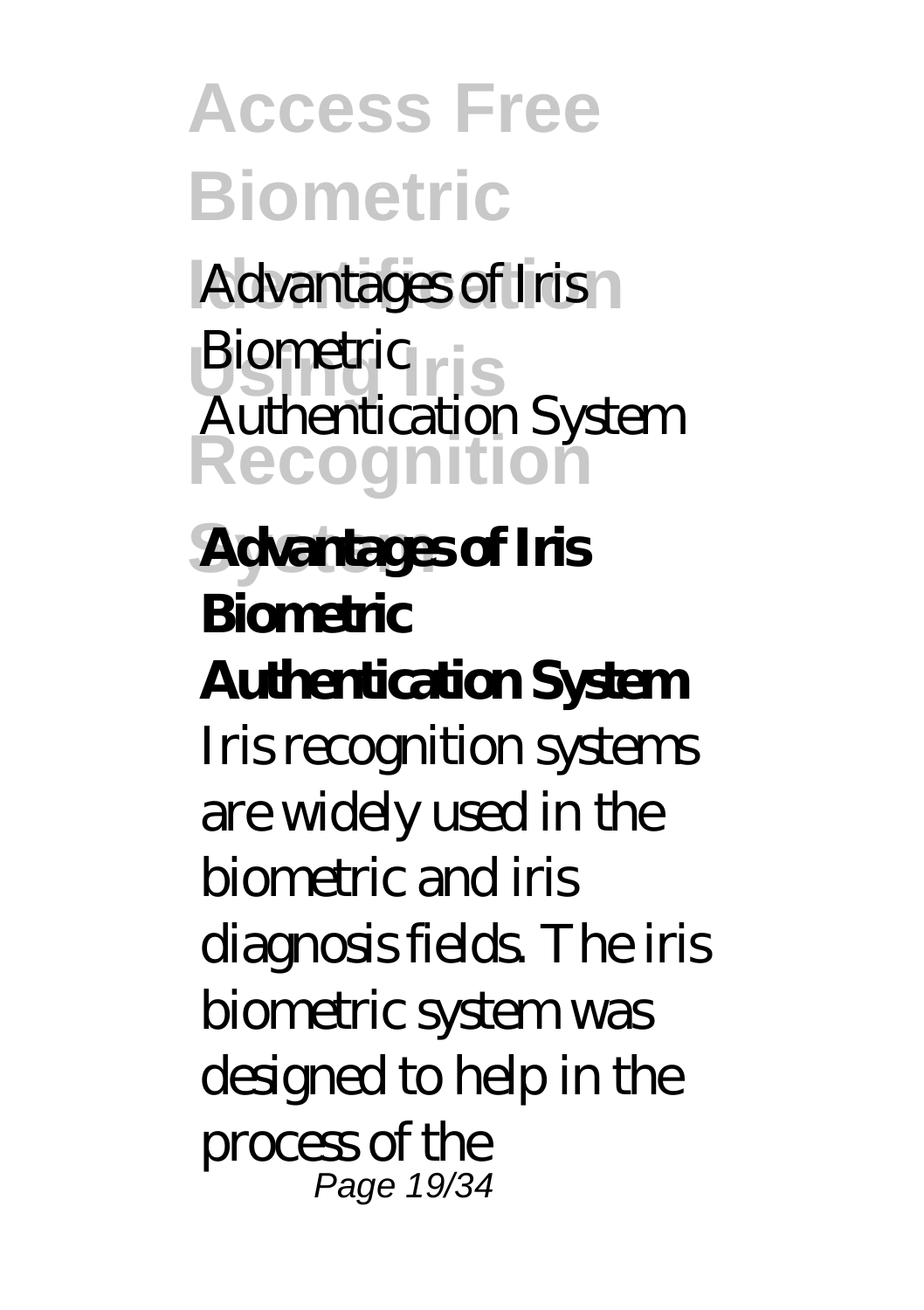**Access Free Biometric Advantages of Iris** Biometric<sub>ris</sub> **Recognition System Advantages of Iris** Authentication System **Biometric Authentication System** Iris recognition systems are widely used in the biometric and iris diagnosis fields. The iris biometric system was designed to help in the process of the Page 19/34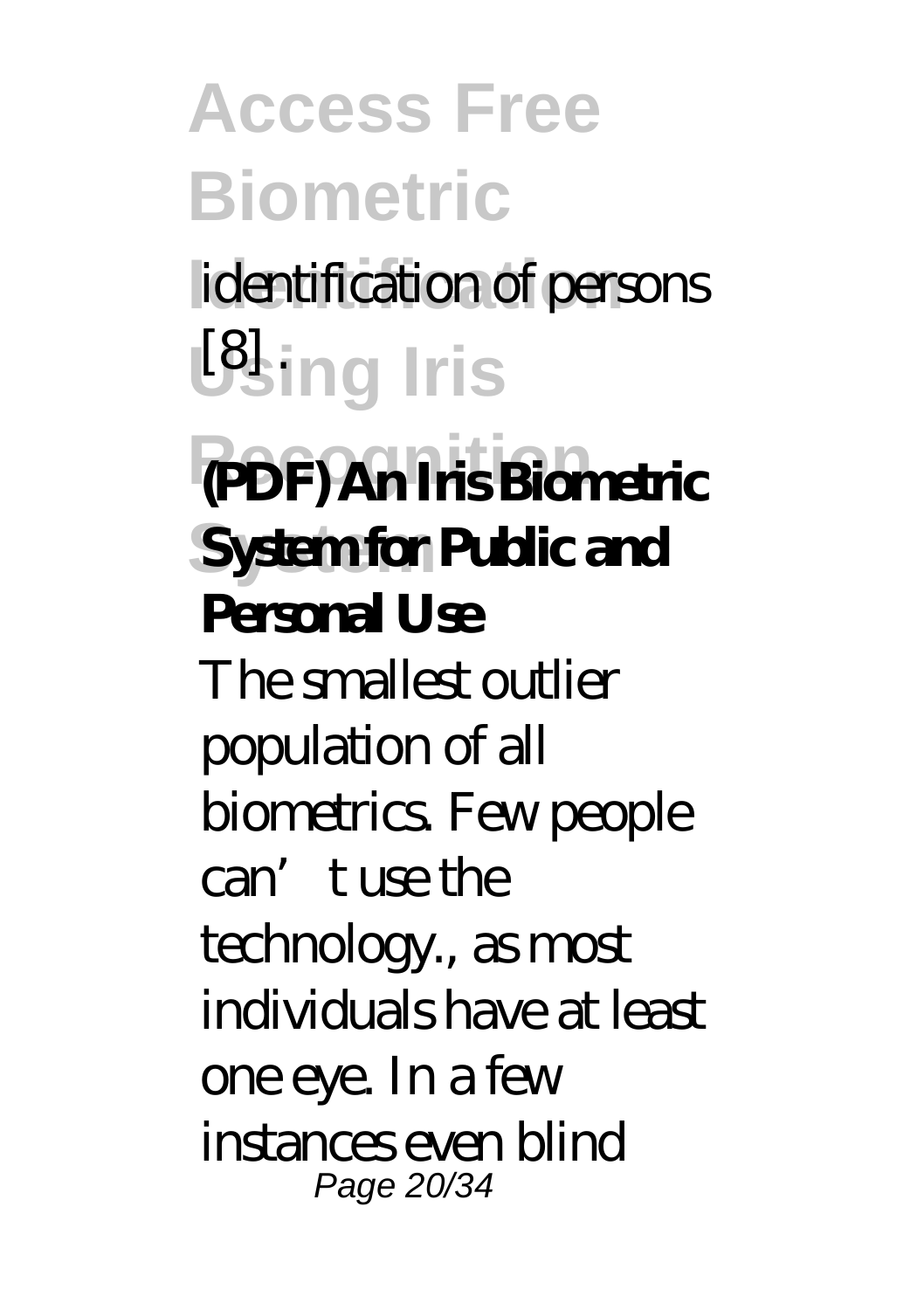**Access Free Biometric Identification** identification of persons **Using Iris Recognition (PDF) An Iris Biometric Systemfor Public and Personal Use** The smallest outlier population of all biometrics. Few people can't use the technology., as most individuals have at least one eye. In a few instances even blind Page 20/34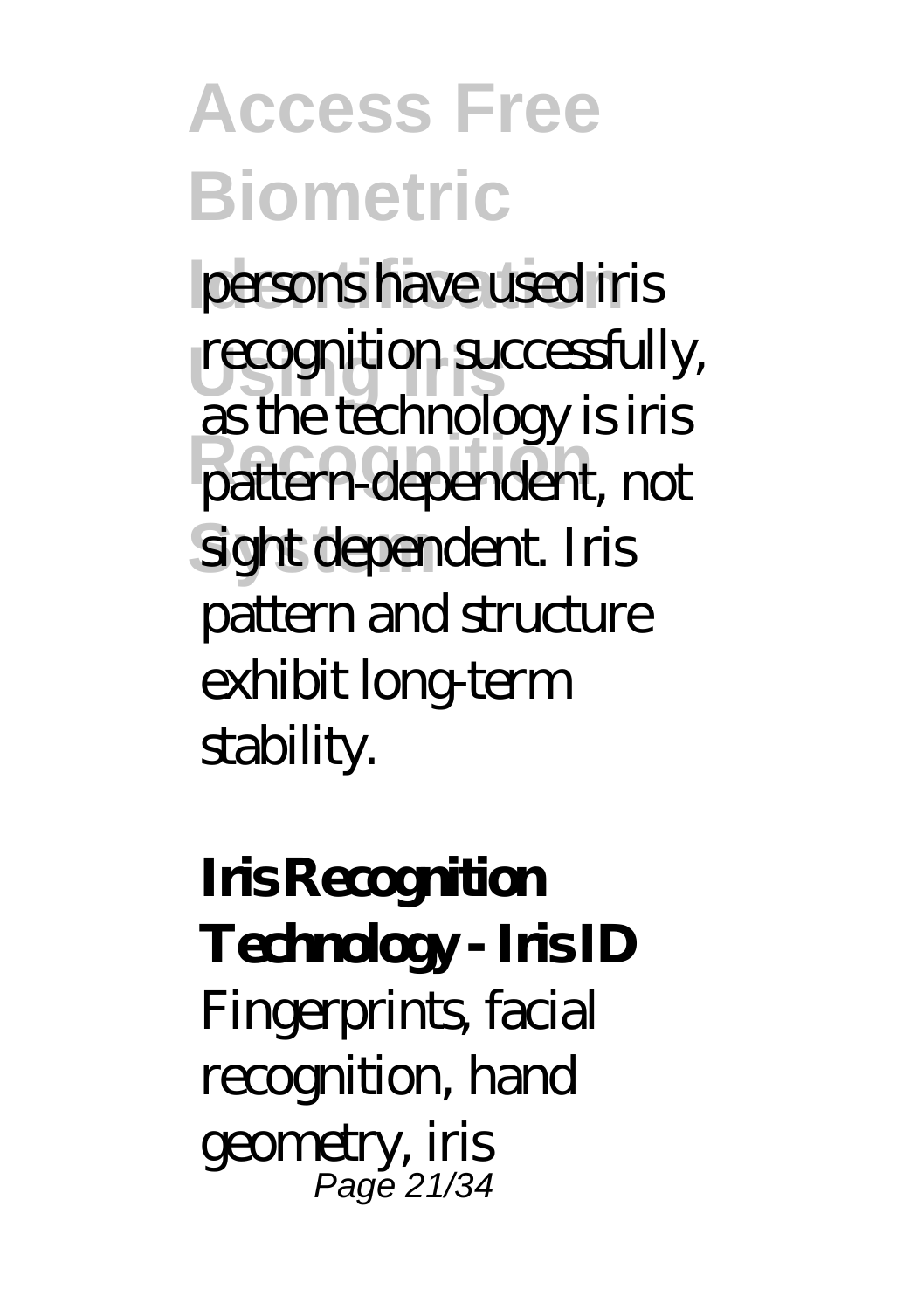**Access Free Biometric** persons have used iris **recognition successfully, Recognition** pattern-dependent, not **System** sight dependent. Iris as the technology is iris pattern and structure exhibit long-term stability.

**Iris Recognition** Technology - **Iris ID** Fingerprints, facial recognition, hand geometry, iris Page 21/34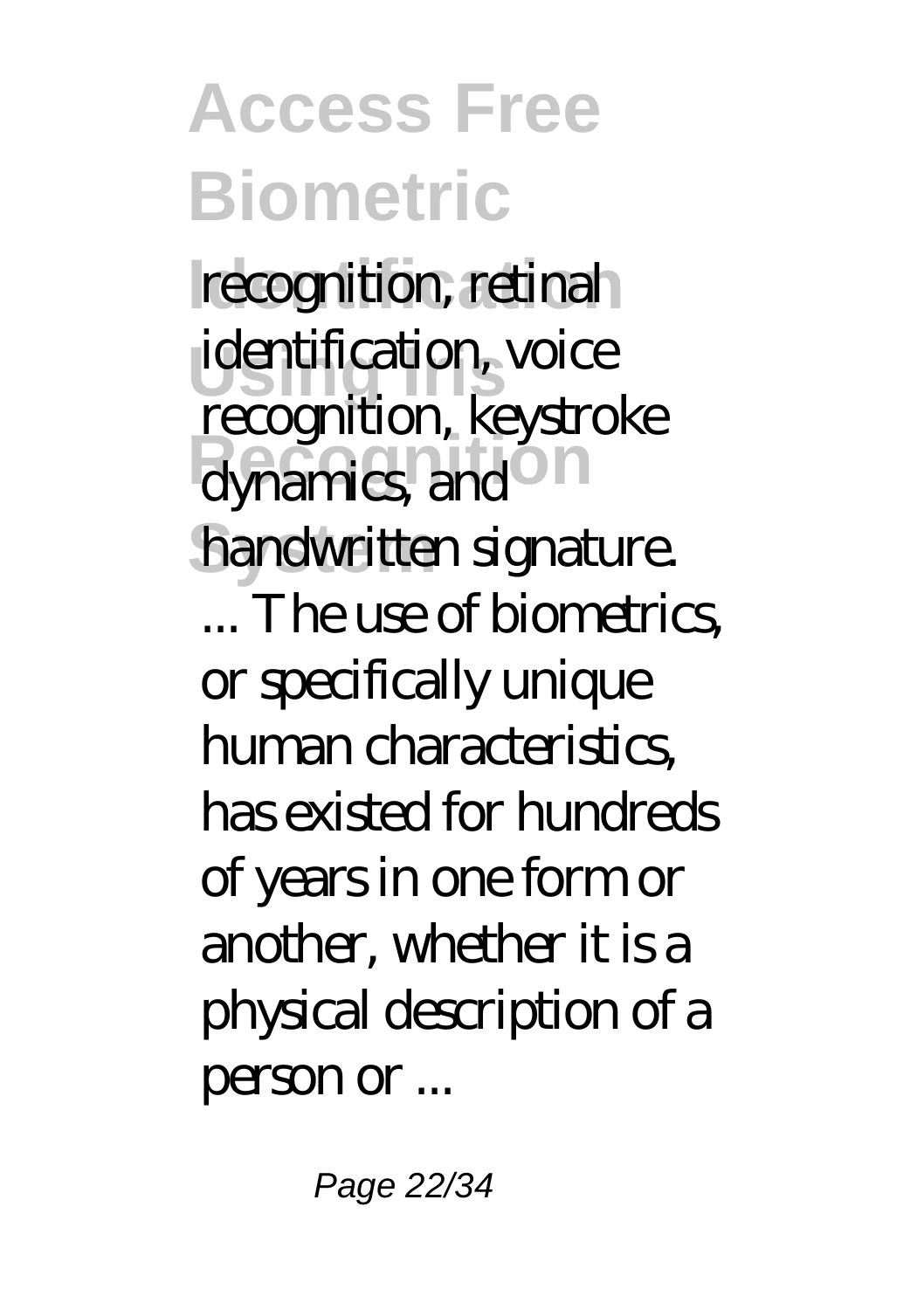**Access Free Biometric** recognition, retinal **Using Iris** identification, voice dynamics, and l handwritten signature. recognition, keystroke ... The use of biometrics, or specifically unique human characteristics, has existed for hundreds of years in one form or another, whether it is a physical description of a person or ...

Page 22/34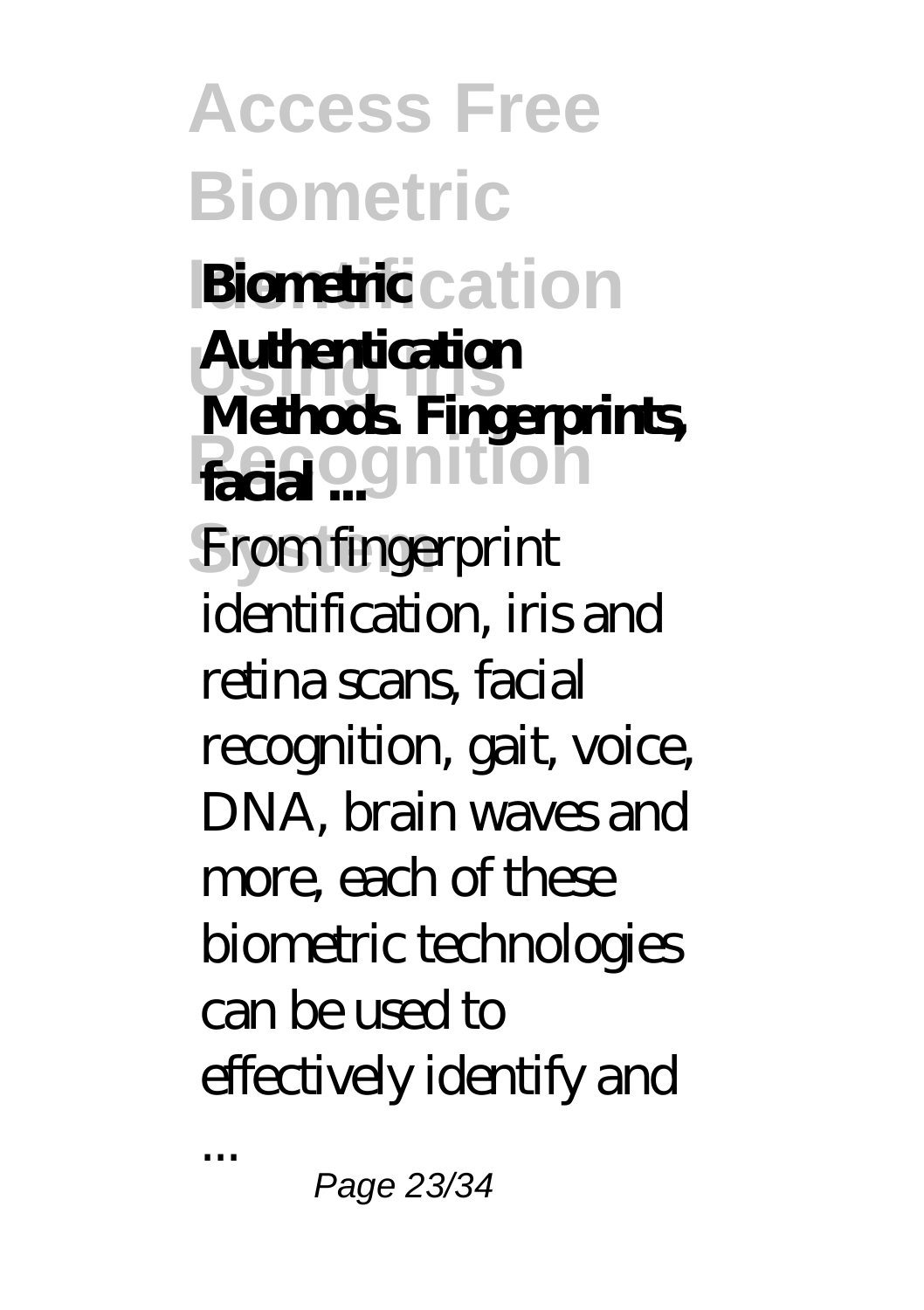**Access Free Biometric Identification Biometric Using Iris Authentication Facia** ognition From fingerprint **Methods. Fingerprints,** identification, iris and retina scans, facial recognition, gait, voice, DNA, brain waves and more, each of these biometric technologies can be used to effectively identify and

Page 23/34

...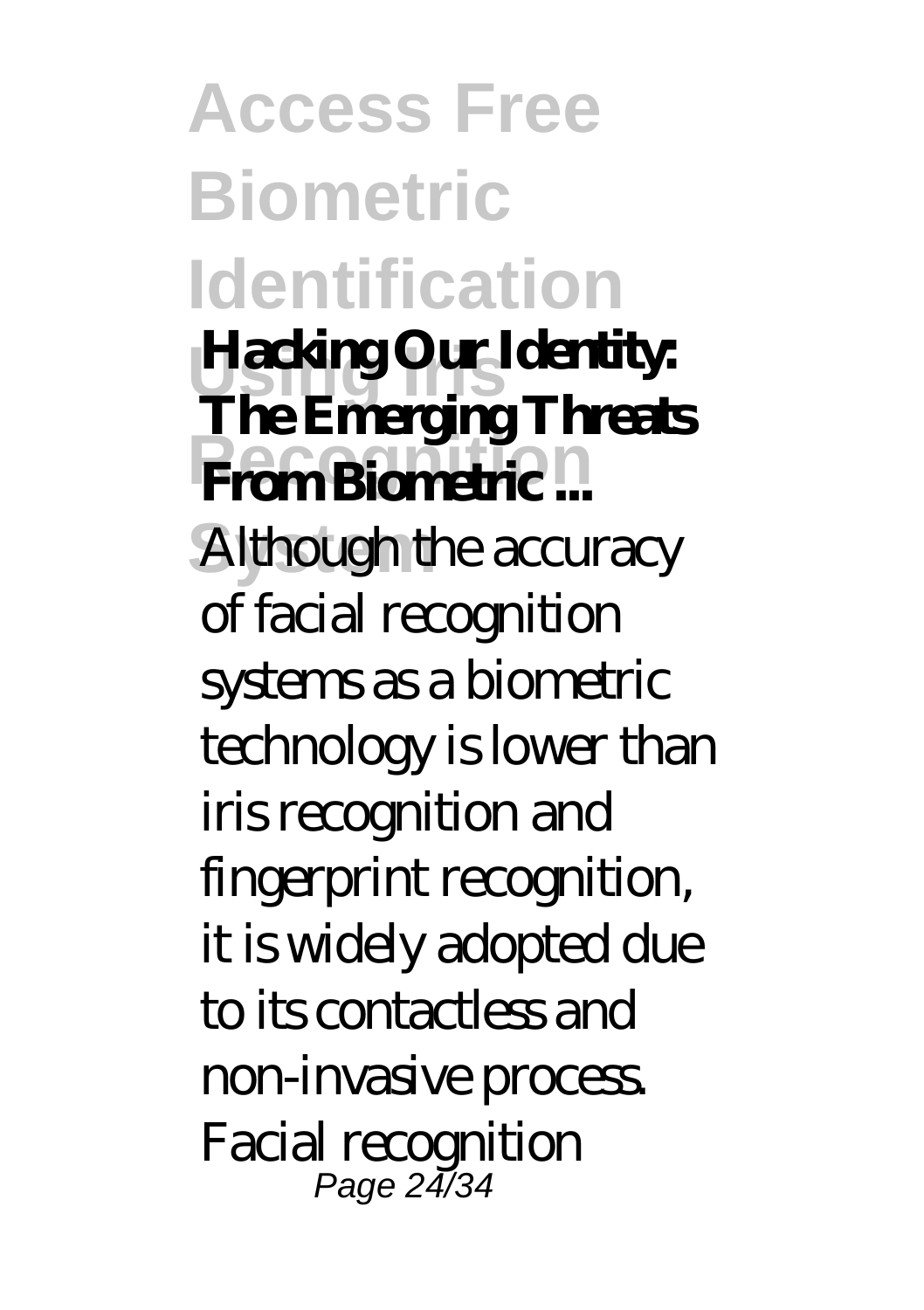**Access Free Biometric Identification Using Iris Hacking Our Identity: Recognition From Biometric ...** Although the accuracy **The Emerging Threats** of facial recognition systems as a biometric technology is lower than iris recognition and fingerprint recognition, it is widely adopted due to its contactless and non-invasive process. Facial recognition Page 24/34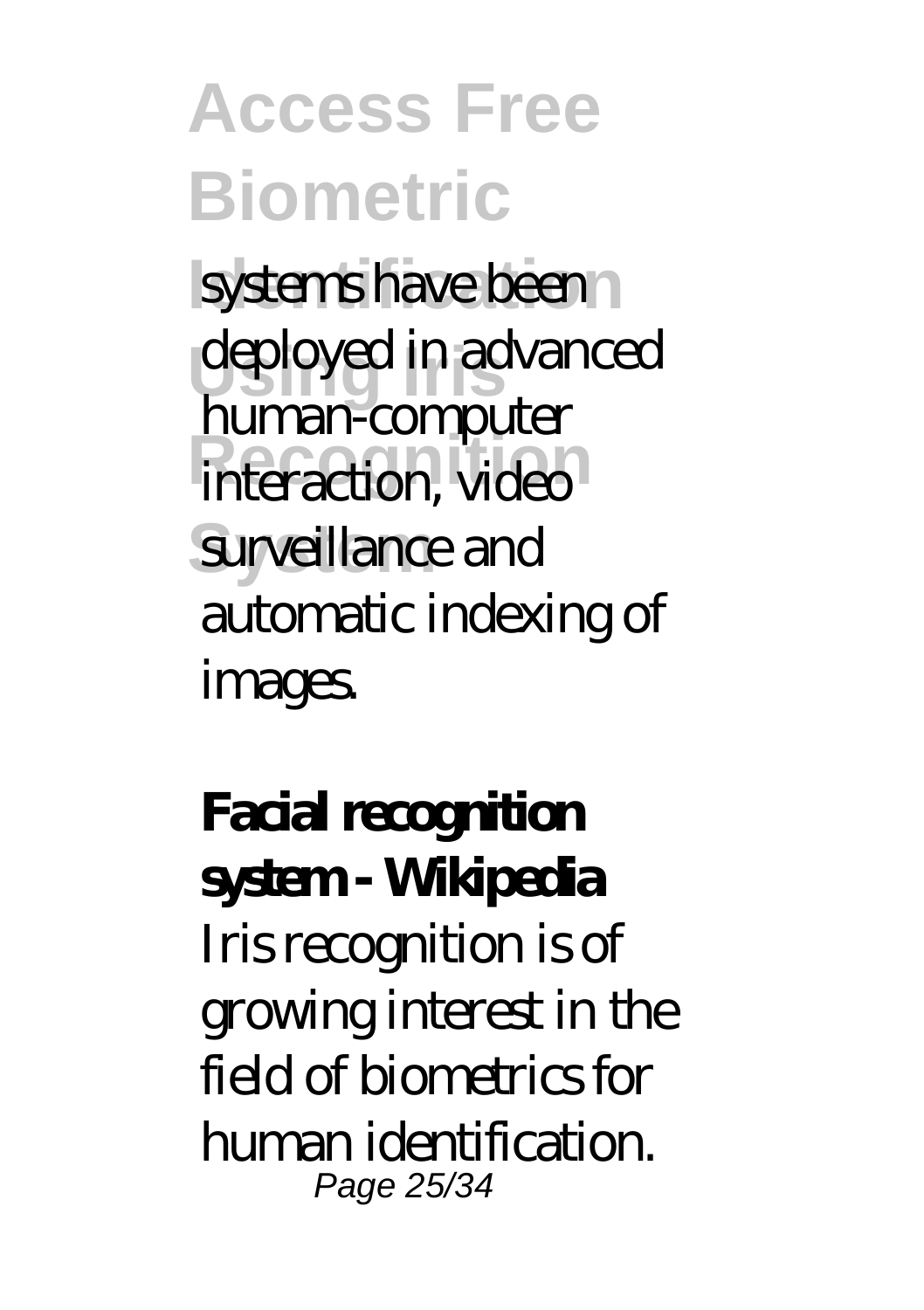**Access Free Biometric** systems have been **Using Iris** deployed in advanced **interaction**, video surveillance and human-computer automatic indexing of images.

**Facial recognition system - Wikipedia** Iris recognition is of growing interest in the field of biometrics for human identification. Page 25/34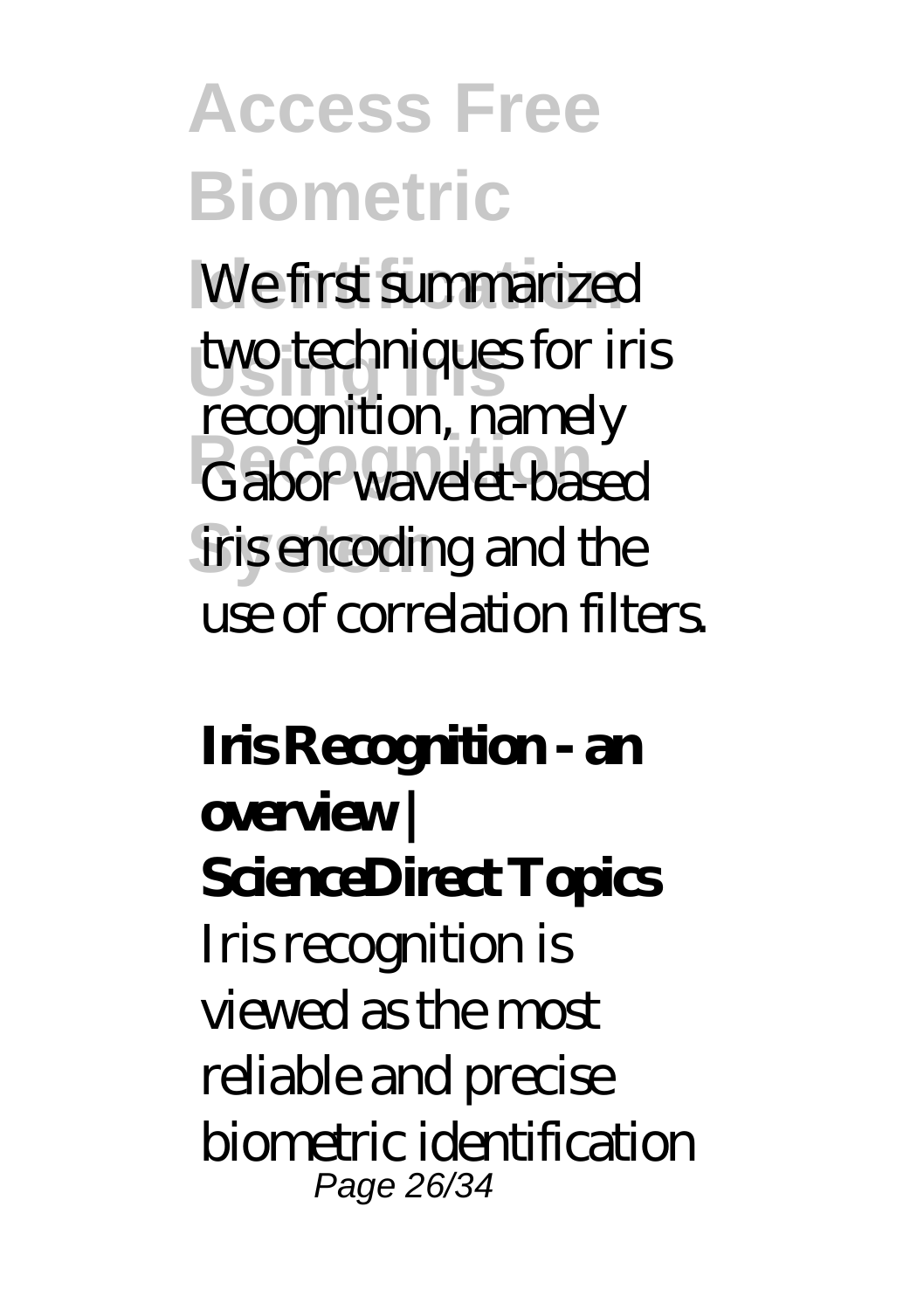### **Access Free Biometric** We first summarized **Using Iris** two techniques for iris **Recognition** Gabor wavelet-based recognition, namely

iris encoding and the use of correlation filters.

**Iris Recognition - an overview | ScienceDirect Topics** Iris recognition is viewed as the most reliable and precise biometric identification Page 26/34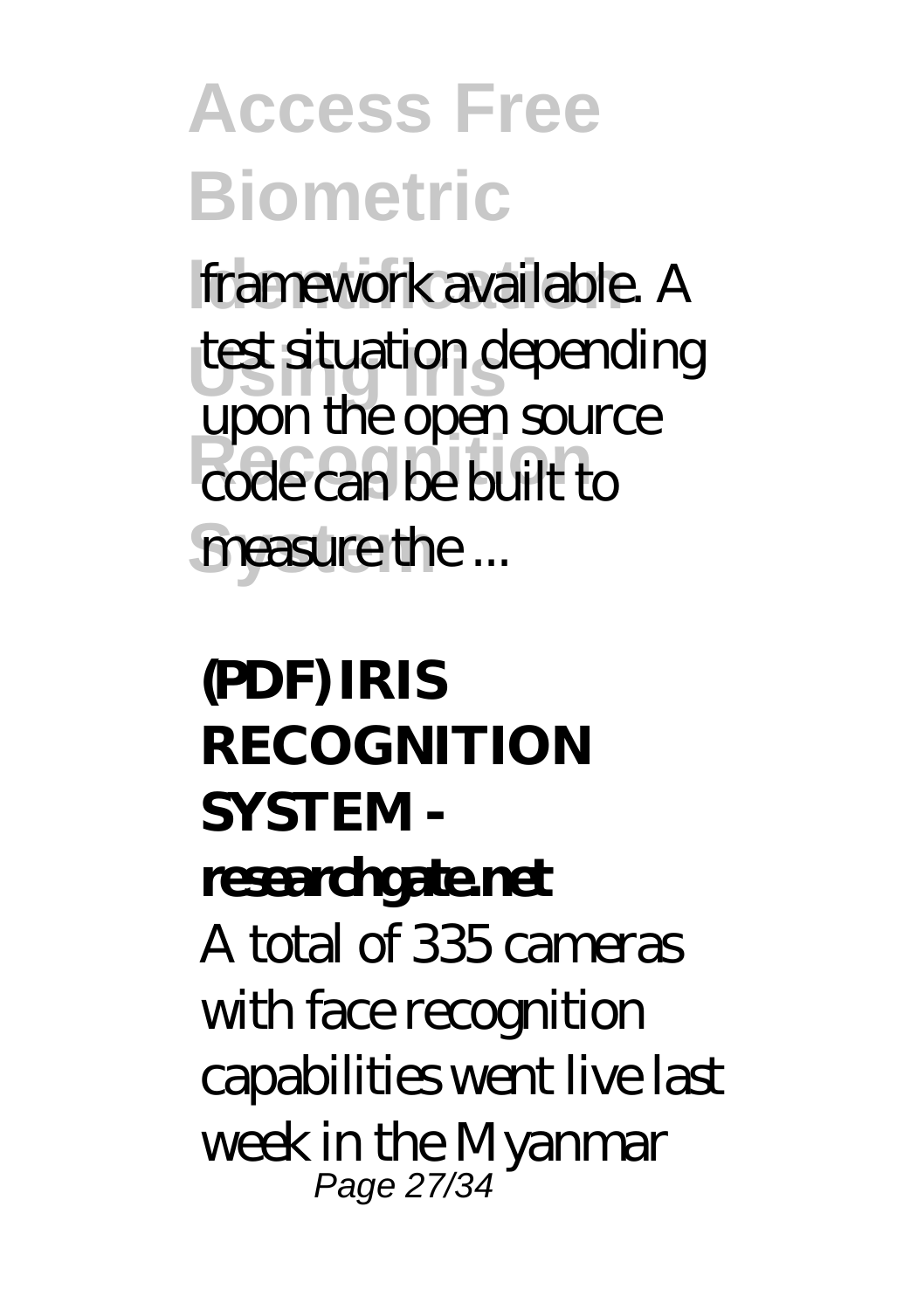**Access Free Biometric framework available.** A **Using Iris** test situation depending **Recognition** code can be built to measure the ... upon the open source

**(PDF) IRIS RECOGNITION SYSTEM researchgate.net** A total of 335 cameras with face recognition capabilities went live last week in the Myanmar Page 27/34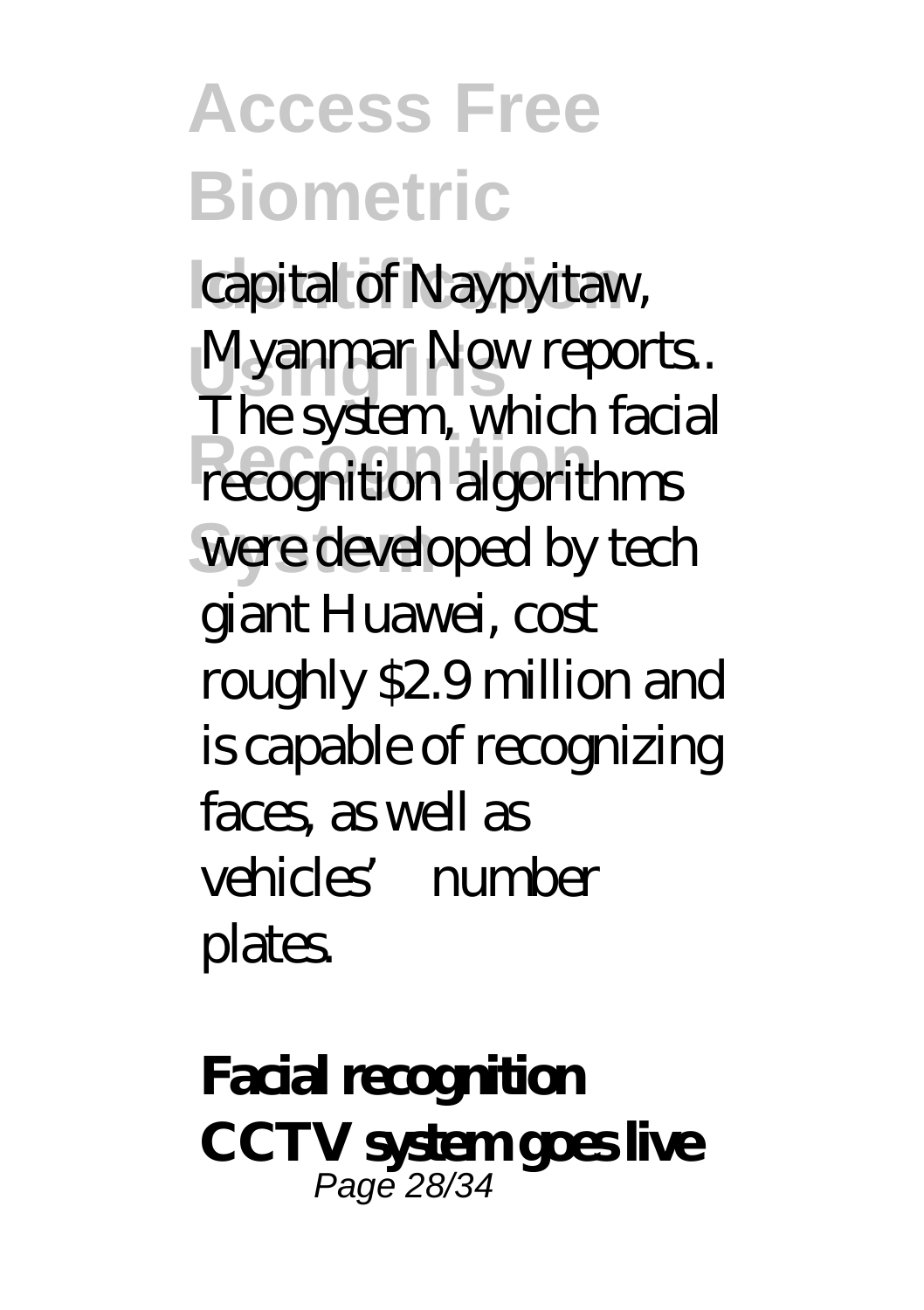**Access Free Biometric** capital of Naypyitaw, Myanmar Now reports.<br>The *n* time which facial **Recognition** recognition algorithms were developed by tech The system, which facial giant Huawei, cost roughly \$2.9 million and is capable of recognizing faces as well as vehicles' number **plates** 

**Facial recognition CCTV system goes live** Page 28/34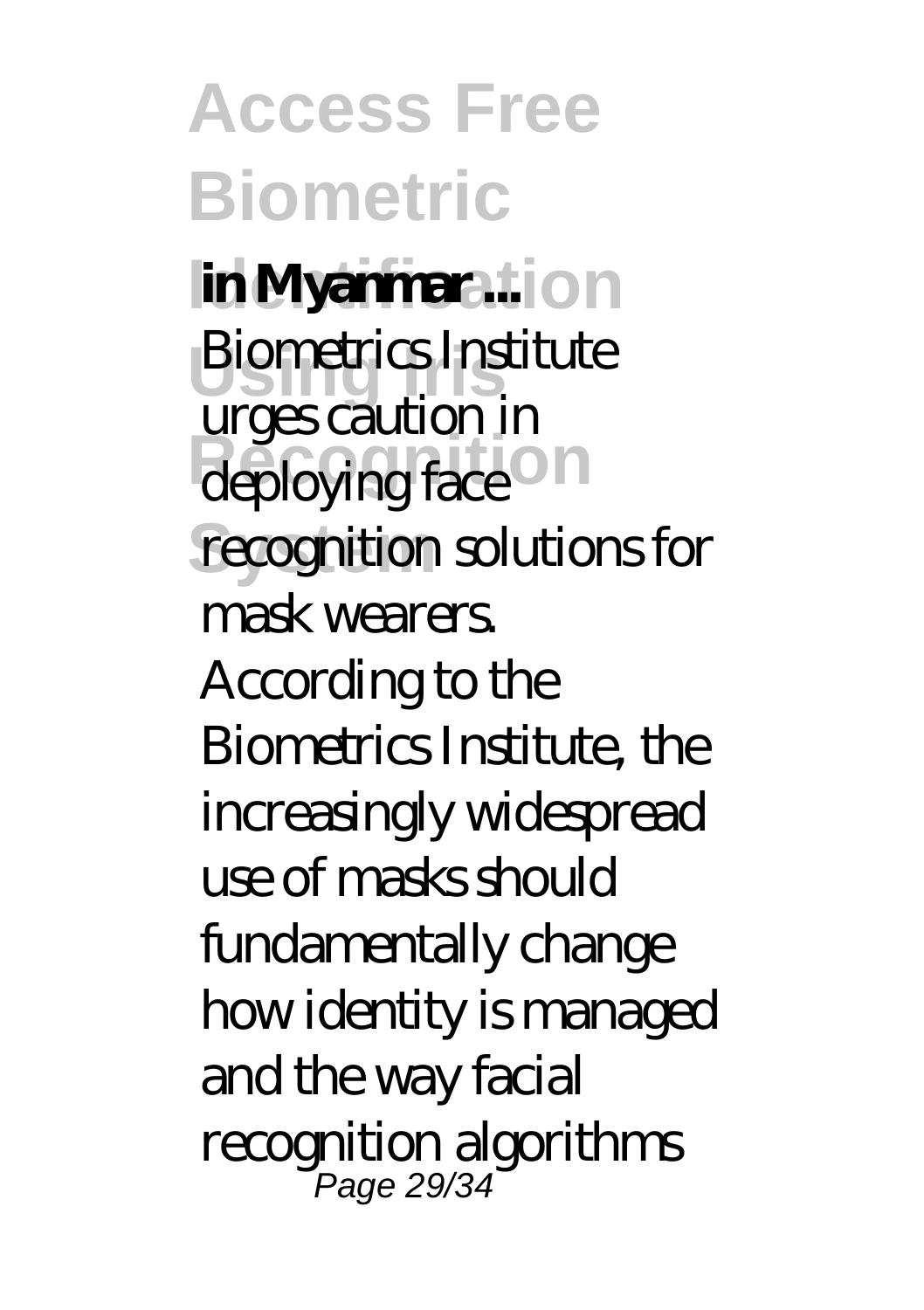**Access Free Biometric in Myanmar**...<sup>1</sup>on **Biometrics Institute** deploying face<sup>O</sup> recognition solutions for urges caution in mask wearers. According to the Biometrics Institute, the increasingly widespread use of masks should fundamentally change how identity is managed and the way facial recognition algorithms Page 29/34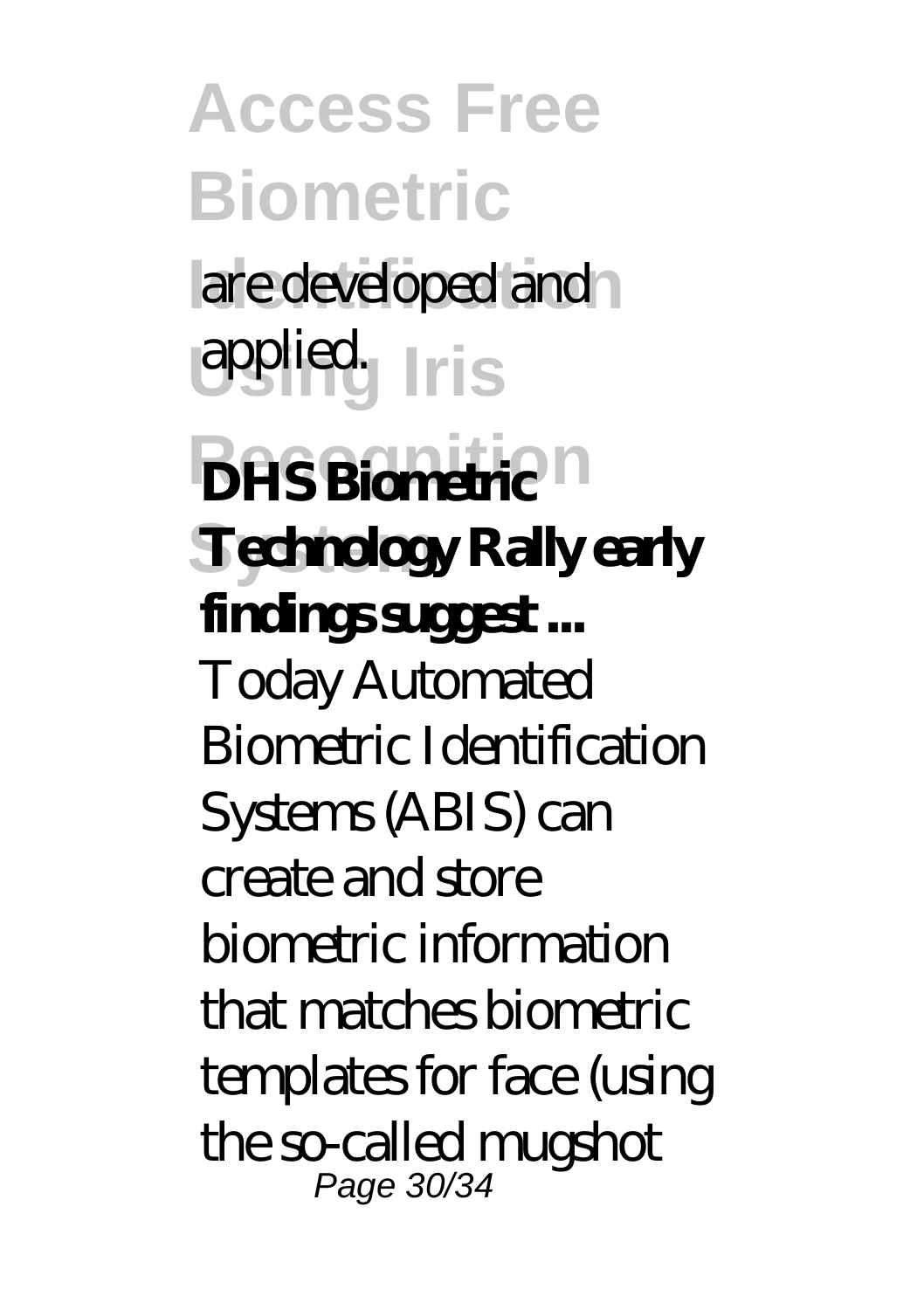**Access Free Biometric** are developed and **Using Iris** applied. **DHS Biometric**<sup>n</sup> **System Technology Rally early findings suggest ...** Today Automated Biometric Identification Systems (ABIS) can create and store biometric information that matches biometric templates for face (using the so-called mugshot Page 30/34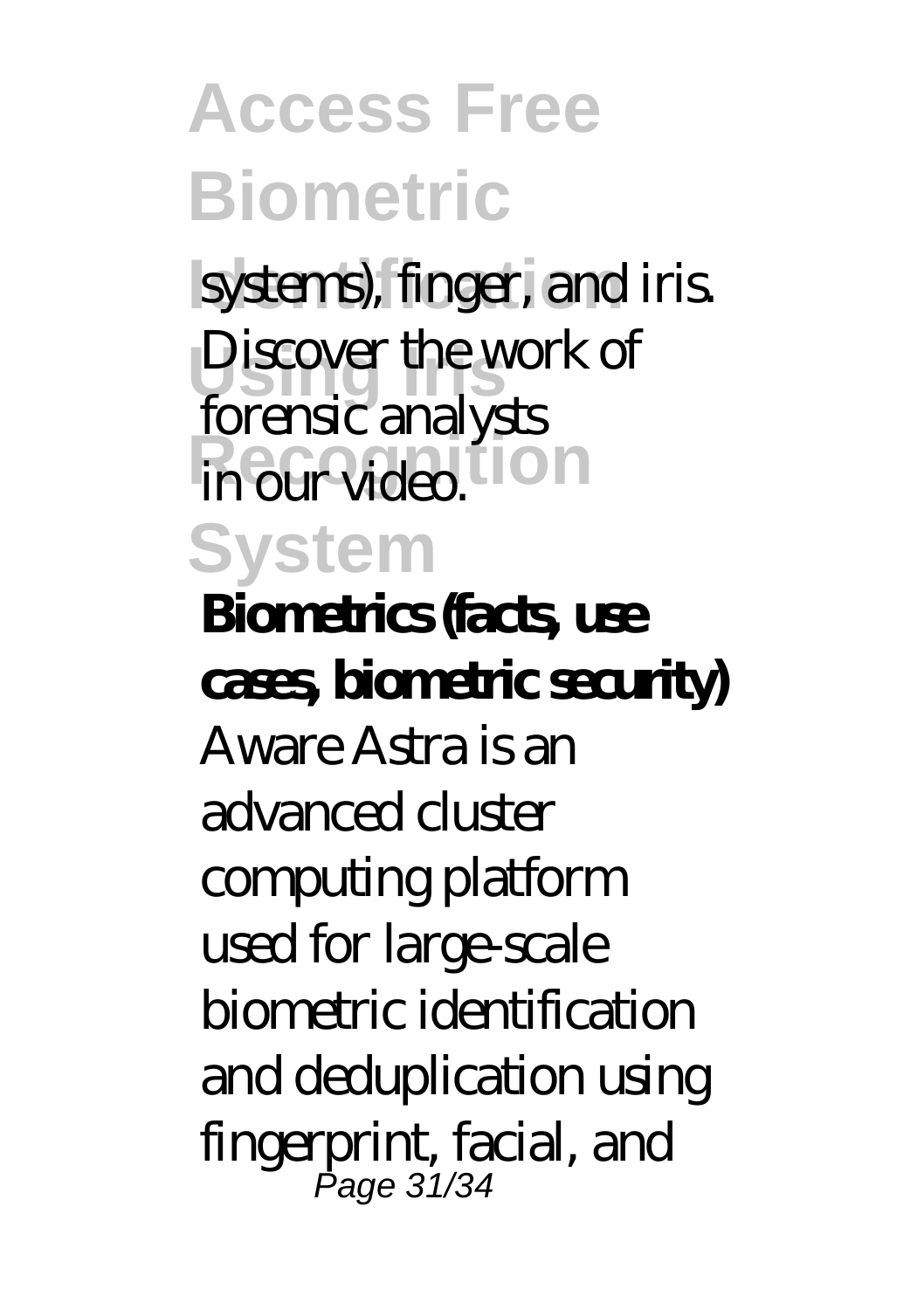**Access Free Biometric** systems), finger, and iris. Discover the work of **in our video. ION System** forensic analysts **Biometrics (facts, use cases, biometric security)** Aware Astra is an advanced cluster computing platform used for large-scale biometric identification and deduplication using fingerprint, facial, and Page 31/34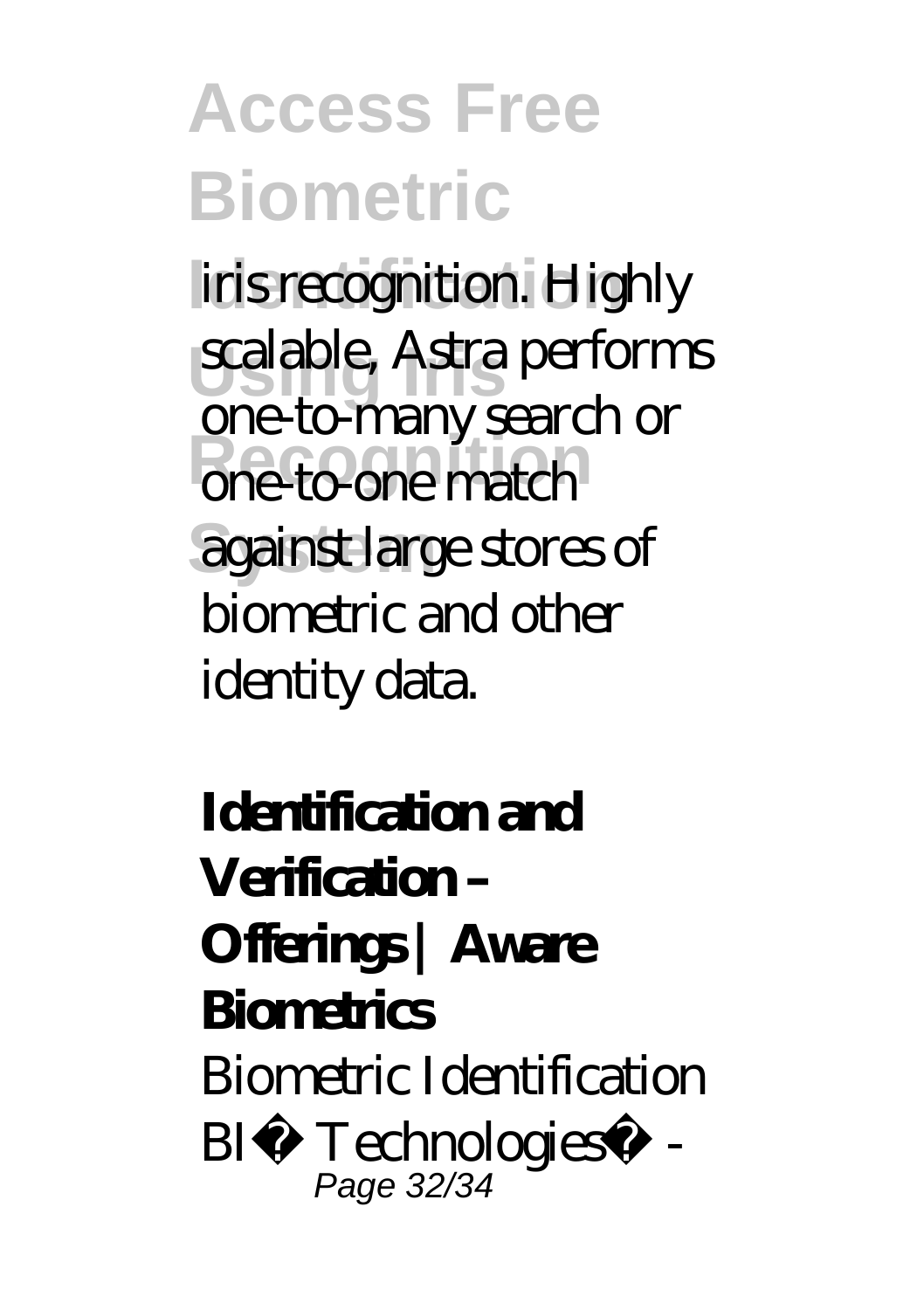# **Access Free Biometric**

iris recognition. Highly **Using Iris** scalable, Astra performs **Recognition** one-to-one match **System** against large stores of one-to-many search or biometric and other identity data.

### **Identification and Verification – Offerings | Aware Biometrics** Biometric Identification  $BI<sup>2</sup>$  Technologies<sup>™</sup> -Page 32/34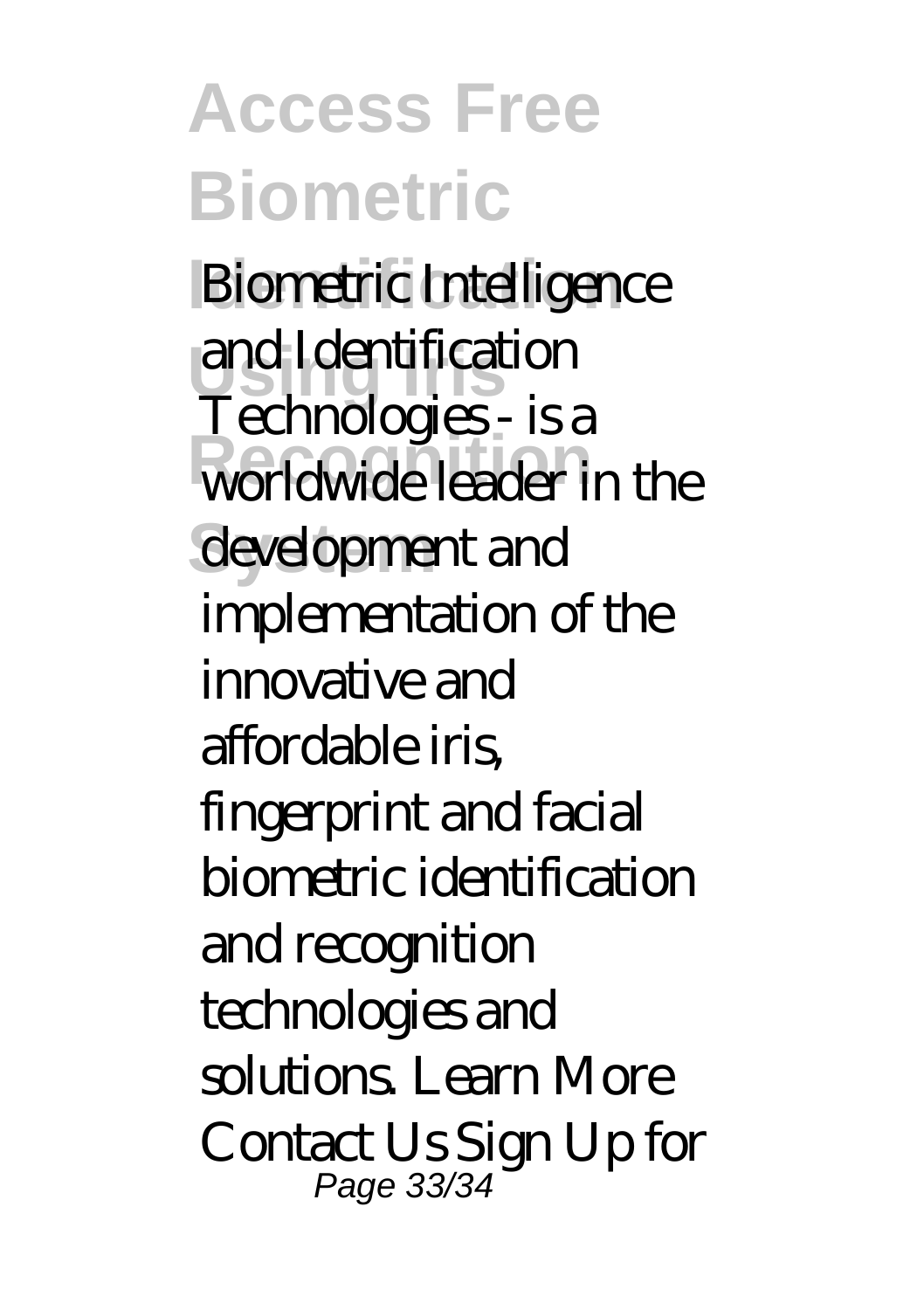## **Access Free Biometric**

**Biometric Intelligence Using Iris** and Identification **Recognition** development and Technologies - is a implementation of the innovative and affordable iris, fingerprint and facial biometric identification and recognition technologies and solutions. Learn More Contact Us Sign Up for Page 33/34